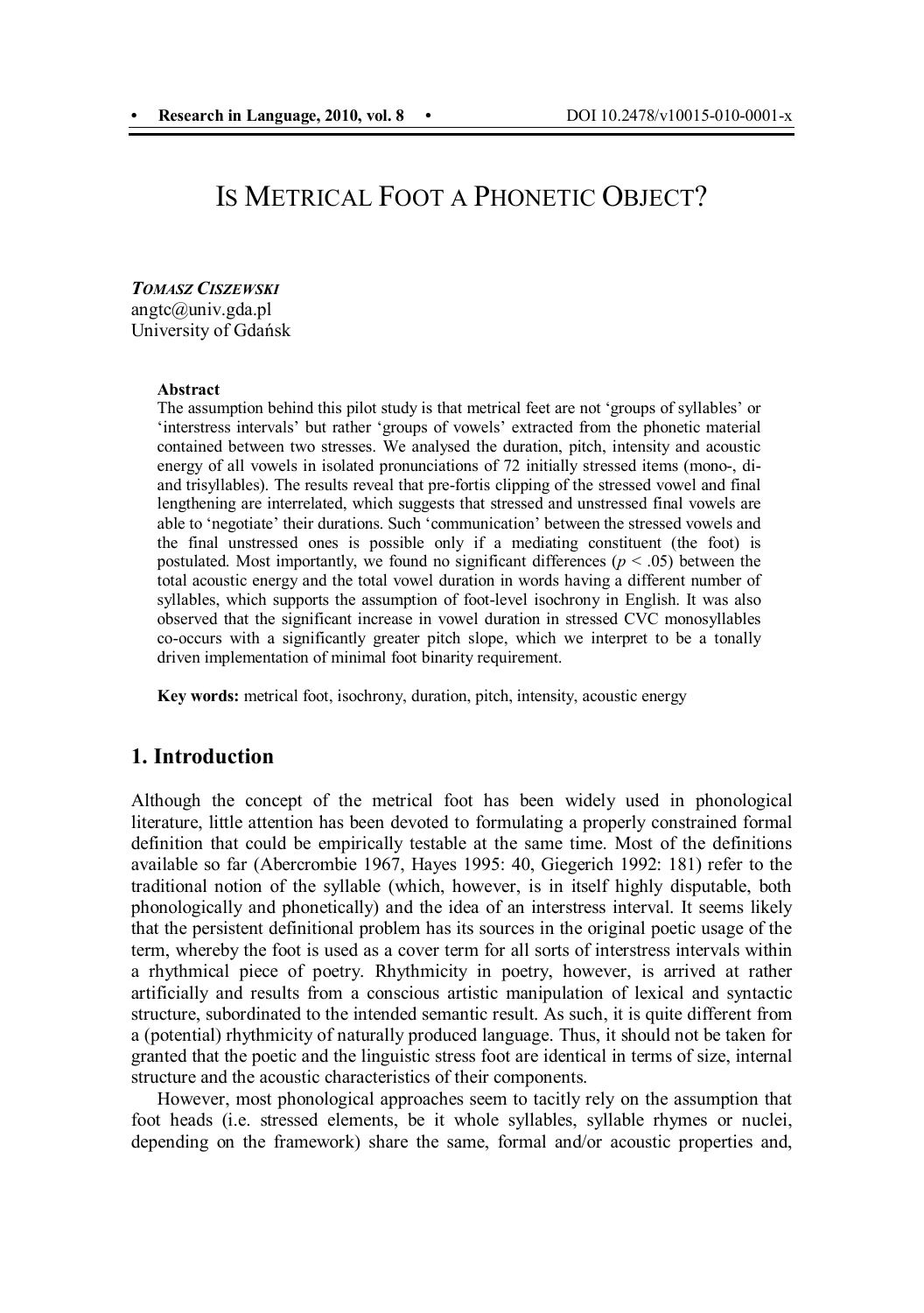# IS METRICAL FOOT A PHONETIC OBJECT?

*TOMASZ CISZEWSKI*

angtc@univ.gda.pl University of Gdańsk

#### **Abstract**

The assumption behind this pilot study is that metrical feet are not 'groups of syllables' or 'interstress intervals' but rather 'groups of vowels' extracted from the phonetic material contained between two stresses. We analysed the duration, pitch, intensity and acoustic energy of all vowels in isolated pronunciations of 72 initially stressed items (mono-, diand trisyllables). The results reveal that pre-fortis clipping of the stressed vowel and final lengthening are interrelated, which suggests that stressed and unstressed final vowels are able to 'negotiate' their durations. Such 'communication' between the stressed vowels and the final unstressed ones is possible only if a mediating constituent (the foot) is postulated. Most importantly, we found no significant differences ( $p < .05$ ) between the total acoustic energy and the total vowel duration in words having a different number of syllables, which supports the assumption of foot-level isochrony in English. It was also observed that the significant increase in vowel duration in stressed CVC monosyllables co-occurs with a significantly greater pitch slope, which we interpret to be a tonally driven implementation of minimal foot binarity requirement.

**Key words:** metrical foot, isochrony, duration, pitch, intensity, acoustic energy

#### **1. Introduction**

Although the concept of the metrical foot has been widely used in phonological literature, little attention has been devoted to formulating a properly constrained formal definition that could be empirically testable at the same time. Most of the definitions available so far (Abercrombie 1967, Hayes 1995: 40, Giegerich 1992: 181) refer to the traditional notion of the syllable (which, however, is in itself highly disputable, both phonologically and phonetically) and the idea of an interstress interval. It seems likely that the persistent definitional problem has its sources in the original poetic usage of the term, whereby the foot is used as a cover term for all sorts of interstress intervals within a rhythmical piece of poetry. Rhythmicity in poetry, however, is arrived at rather artificially and results from a conscious artistic manipulation of lexical and syntactic structure, subordinated to the intended semantic result. As such, it is quite different from a (potential) rhythmicity of naturally produced language. Thus, it should not be taken for granted that the poetic and the linguistic stress foot are identical in terms of size, internal structure and the acoustic characteristics of their components.

However, most phonological approaches seem to tacitly rely on the assumption that foot heads (i.e. stressed elements, be it whole syllables, syllable rhymes or nuclei, depending on the framework) share the same, formal and/or acoustic properties and,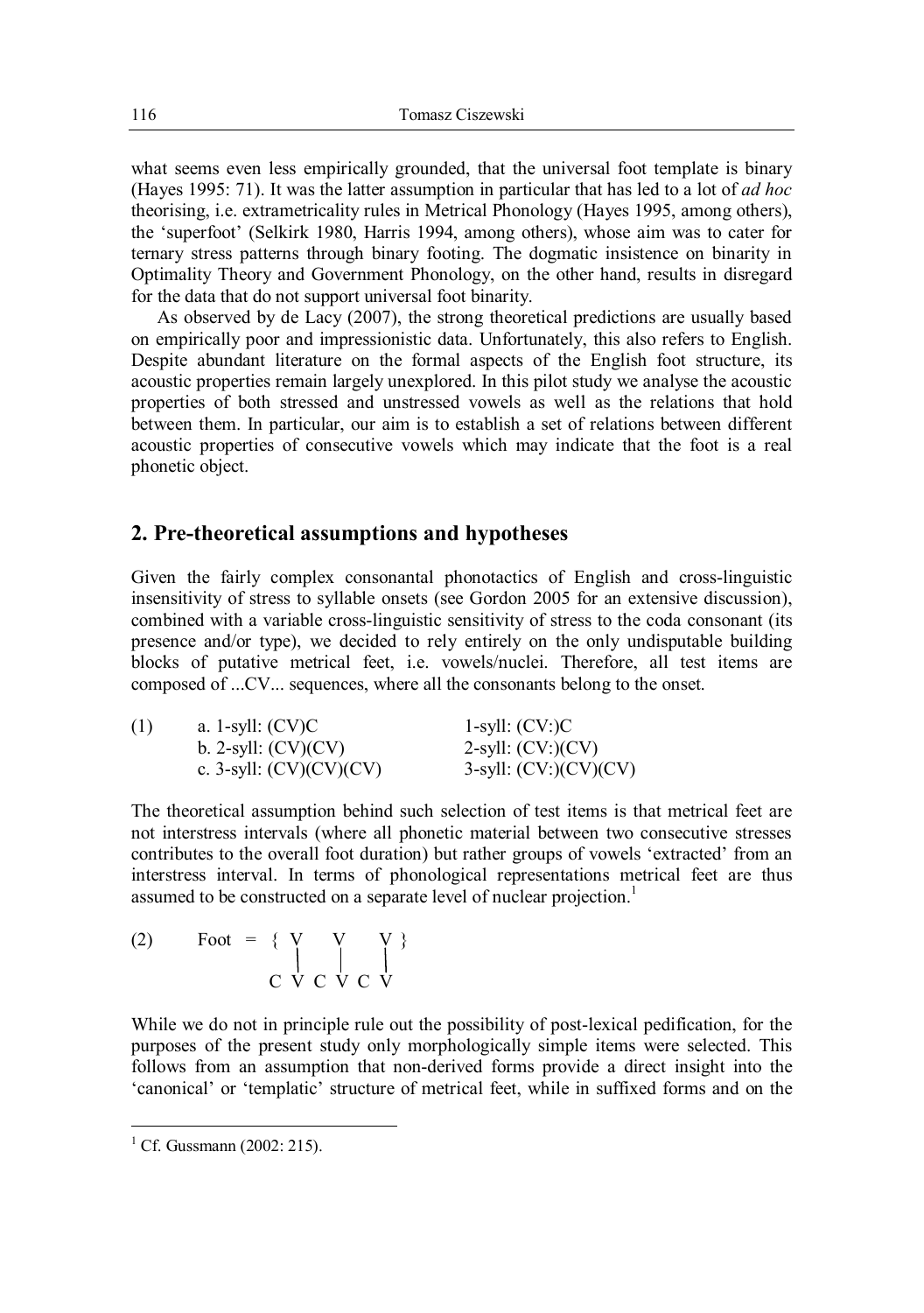what seems even less empirically grounded, that the universal foot template is binary (Hayes 1995: 71). It was the latter assumption in particular that has led to a lot of *ad hoc* theorising, i.e. extrametricality rules in Metrical Phonology (Hayes 1995, among others), the 'superfoot' (Selkirk 1980, Harris 1994, among others), whose aim was to cater for ternary stress patterns through binary footing. The dogmatic insistence on binarity in Optimality Theory and Government Phonology, on the other hand, results in disregard for the data that do not support universal foot binarity.

As observed by de Lacy (2007), the strong theoretical predictions are usually based on empirically poor and impressionistic data. Unfortunately, this also refers to English. Despite abundant literature on the formal aspects of the English foot structure, its acoustic properties remain largely unexplored. In this pilot study we analyse the acoustic properties of both stressed and unstressed vowels as well as the relations that hold between them. In particular, our aim is to establish a set of relations between different acoustic properties of consecutive vowels which may indicate that the foot is a real phonetic object.

### **2. Pre-theoretical assumptions and hypotheses**

Given the fairly complex consonantal phonotactics of English and cross-linguistic insensitivity of stress to syllable onsets (see Gordon 2005 for an extensive discussion), combined with a variable cross-linguistic sensitivity of stress to the coda consonant (its presence and/or type), we decided to rely entirely on the only undisputable building blocks of putative metrical feet, i.e. vowels/nuclei. Therefore, all test items are composed of ...CV... sequences, where all the consonants belong to the onset.

| (1) | a. 1-syll: $(CV)C$        | $1$ -syll: $(CV: )C$       |
|-----|---------------------------|----------------------------|
|     | b. 2-syll: $(CV)(CV)$     | $2\text{-syll}: (CV:)(CV)$ |
|     | c. 3-syll: $(CV)(CV)(CV)$ | $3$ -syll: $(CV:)(CV)(CV)$ |

The theoretical assumption behind such selection of test items is that metrical feet are not interstress intervals (where all phonetic material between two consecutive stresses contributes to the overall foot duration) but rather groups of vowels 'extracted' from an interstress interval. In terms of phonological representations metrical feet are thus assumed to be constructed on a separate level of nuclear projection.<sup>1</sup>

$$
\begin{array}{c}\n\text{(2)} \qquad \text{Foot} \ = \ \{ \ \text{V} \quad \text{V} \quad \text{V} \ \} \\
\text{C} \quad \text{V} \quad \text{C} \quad \text{V} \quad \text{C} \quad \text{V}\n\end{array}
$$

While we do not in principle rule out the possibility of post-lexical pedification, for the purposes of the present study only morphologically simple items were selected. This follows from an assumption that non-derived forms provide a direct insight into the 'canonical' or 'templatic' structure of metrical feet, while in suffixed forms and on the

 $\overline{a}$ 

<sup>&</sup>lt;sup>1</sup> Cf. Gussmann (2002: 215).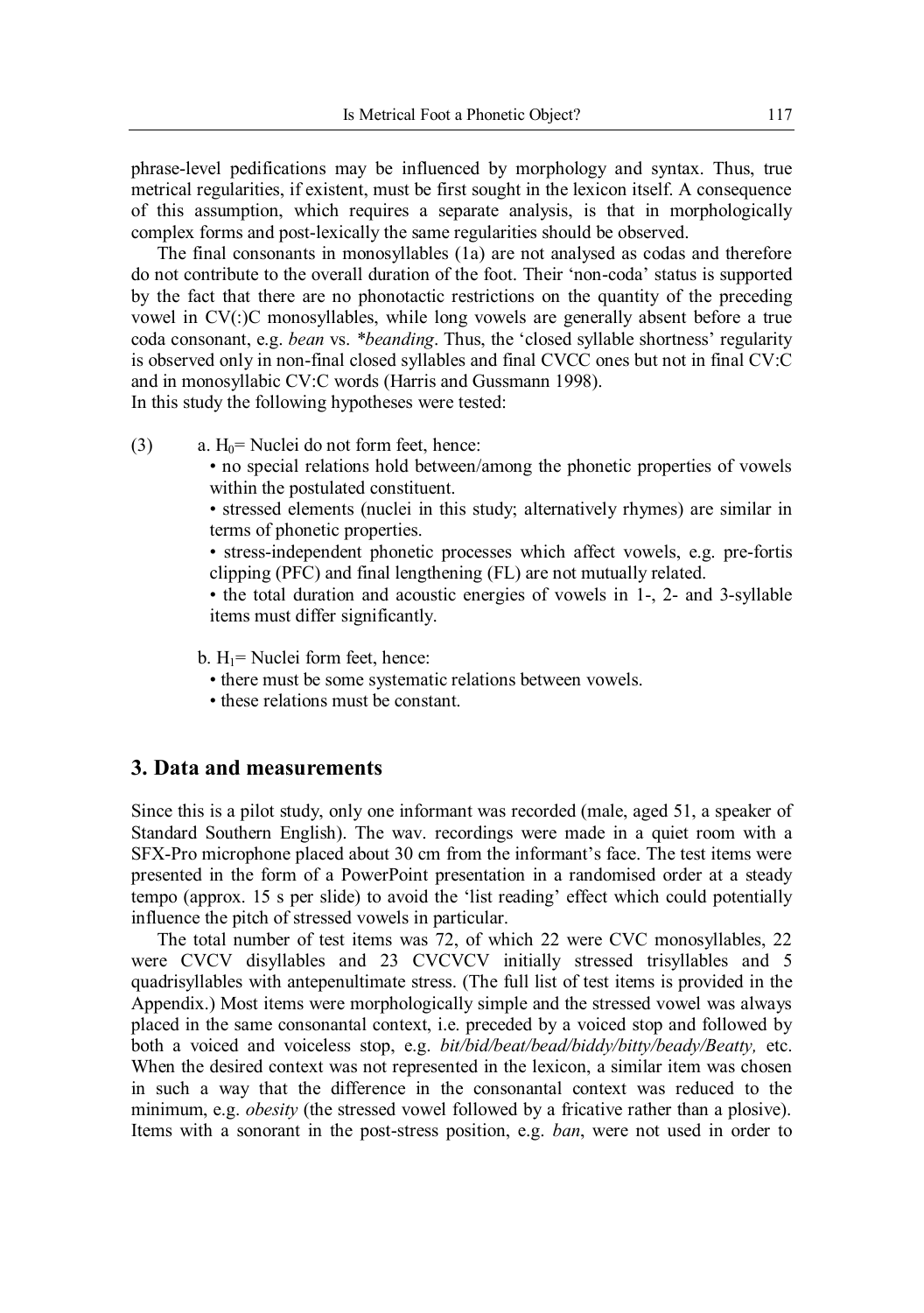phrase-level pedifications may be influenced by morphology and syntax. Thus, true metrical regularities, if existent, must be first sought in the lexicon itself. A consequence of this assumption, which requires a separate analysis, is that in morphologically complex forms and post-lexically the same regularities should be observed.

The final consonants in monosyllables (1a) are not analysed as codas and therefore do not contribute to the overall duration of the foot. Their 'non-coda' status is supported by the fact that there are no phonotactic restrictions on the quantity of the preceding vowel in CV(:)C monosyllables, while long vowels are generally absent before a true coda consonant, e.g. *bean* vs. *\*beanding*. Thus, the 'closed syllable shortness' regularity is observed only in non-final closed syllables and final CVCC ones but not in final CV:C and in monosyllabic CV:C words (Harris and Gussmann 1998). In this study the following hypotheses were tested:

- (3) a.  $H_0$ = Nuclei do not form feet, hence:
	- no special relations hold between/among the phonetic properties of vowels within the postulated constituent.

• stressed elements (nuclei in this study; alternatively rhymes) are similar in terms of phonetic properties.

• stress-independent phonetic processes which affect vowels, e.g. pre-fortis clipping (PFC) and final lengthening (FL) are not mutually related.

• the total duration and acoustic energies of vowels in 1-, 2- and 3-syllable items must differ significantly.

b.  $H_1$ = Nuclei form feet, hence:

- there must be some systematic relations between vowels.
- these relations must be constant.

## **3. Data and measurements**

Since this is a pilot study, only one informant was recorded (male, aged 51, a speaker of Standard Southern English). The wav. recordings were made in a quiet room with a SFX-Pro microphone placed about 30 cm from the informant's face. The test items were presented in the form of a PowerPoint presentation in a randomised order at a steady tempo (approx. 15 s per slide) to avoid the 'list reading' effect which could potentially influence the pitch of stressed vowels in particular.

The total number of test items was 72, of which 22 were CVC monosyllables, 22 were CVCV disyllables and 23 CVCVCV initially stressed trisyllables and 5 quadrisyllables with antepenultimate stress. (The full list of test items is provided in the Appendix.) Most items were morphologically simple and the stressed vowel was always placed in the same consonantal context, i.e. preceded by a voiced stop and followed by both a voiced and voiceless stop, e.g. *bit/bid/beat/bead/biddy/bitty/beady/Beatty,* etc. When the desired context was not represented in the lexicon, a similar item was chosen in such a way that the difference in the consonantal context was reduced to the minimum, e.g. *obesity* (the stressed vowel followed by a fricative rather than a plosive). Items with a sonorant in the post-stress position, e.g. *ban*, were not used in order to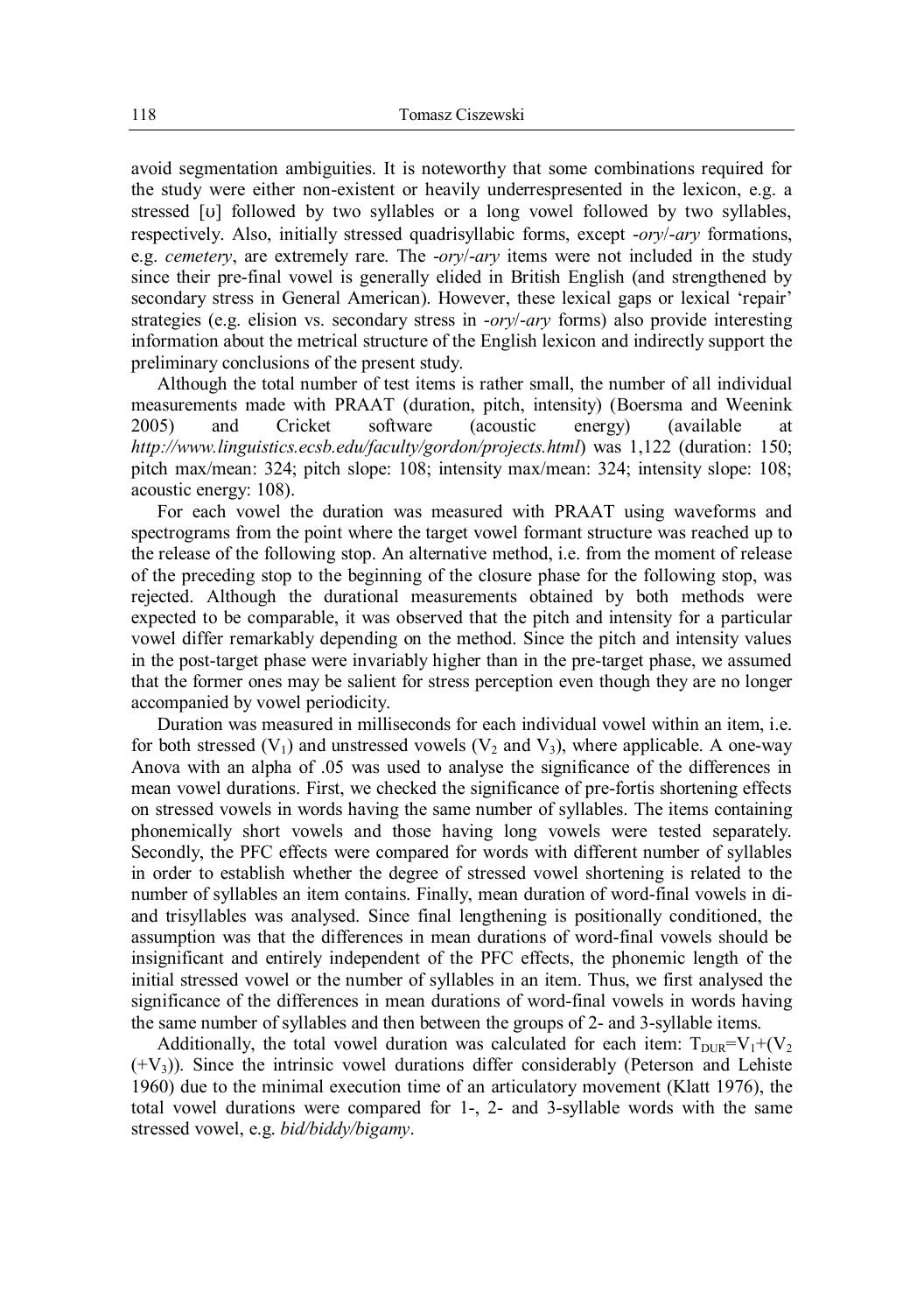avoid segmentation ambiguities. It is noteworthy that some combinations required for the study were either non-existent or heavily underrespresented in the lexicon, e.g. a stressed  $[v]$  followed by two syllables or a long vowel followed by two syllables, respectively. Also, initially stressed quadrisyllabic forms, except -*ory*/-*ary* formations, e.g. *cemetery*, are extremely rare. The -*ory*/-*ary* items were not included in the study since their pre-final vowel is generally elided in British English (and strengthened by secondary stress in General American). However, these lexical gaps or lexical 'repair' strategies (e.g. elision vs. secondary stress in -*ory*/-*ary* forms) also provide interesting information about the metrical structure of the English lexicon and indirectly support the preliminary conclusions of the present study.

Although the total number of test items is rather small, the number of all individual measurements made with PRAAT (duration, pitch, intensity) (Boersma and Weenink 2005) and Cricket software (acoustic energy) (available at *http://www.linguistics.ecsb.edu/faculty/gordon/projects.html*) was 1,122 (duration: 150; pitch max/mean: 324; pitch slope: 108; intensity max/mean: 324; intensity slope: 108; acoustic energy: 108).

For each vowel the duration was measured with PRAAT using waveforms and spectrograms from the point where the target vowel formant structure was reached up to the release of the following stop. An alternative method, i.e. from the moment of release of the preceding stop to the beginning of the closure phase for the following stop, was rejected. Although the durational measurements obtained by both methods were expected to be comparable, it was observed that the pitch and intensity for a particular vowel differ remarkably depending on the method. Since the pitch and intensity values in the post-target phase were invariably higher than in the pre-target phase, we assumed that the former ones may be salient for stress perception even though they are no longer accompanied by vowel periodicity.

Duration was measured in milliseconds for each individual vowel within an item, i.e. for both stressed  $(V_1)$  and unstressed vowels  $(V_2$  and  $V_3)$ , where applicable. A one-way Anova with an alpha of .05 was used to analyse the significance of the differences in mean vowel durations. First, we checked the significance of pre-fortis shortening effects on stressed vowels in words having the same number of syllables. The items containing phonemically short vowels and those having long vowels were tested separately. Secondly, the PFC effects were compared for words with different number of syllables in order to establish whether the degree of stressed vowel shortening is related to the number of syllables an item contains. Finally, mean duration of word-final vowels in diand trisyllables was analysed. Since final lengthening is positionally conditioned, the assumption was that the differences in mean durations of word-final vowels should be insignificant and entirely independent of the PFC effects, the phonemic length of the initial stressed vowel or the number of syllables in an item. Thus, we first analysed the significance of the differences in mean durations of word-final vowels in words having the same number of syllables and then between the groups of 2- and 3-syllable items.

Additionally, the total vowel duration was calculated for each item:  $T_{\text{DUR}}=V_1+(V_2)$  $(+V<sub>3</sub>)$ ). Since the intrinsic vowel durations differ considerably (Peterson and Lehiste 1960) due to the minimal execution time of an articulatory movement (Klatt 1976), the total vowel durations were compared for 1-, 2- and 3-syllable words with the same stressed vowel, e.g. *bid/biddy/bigamy*.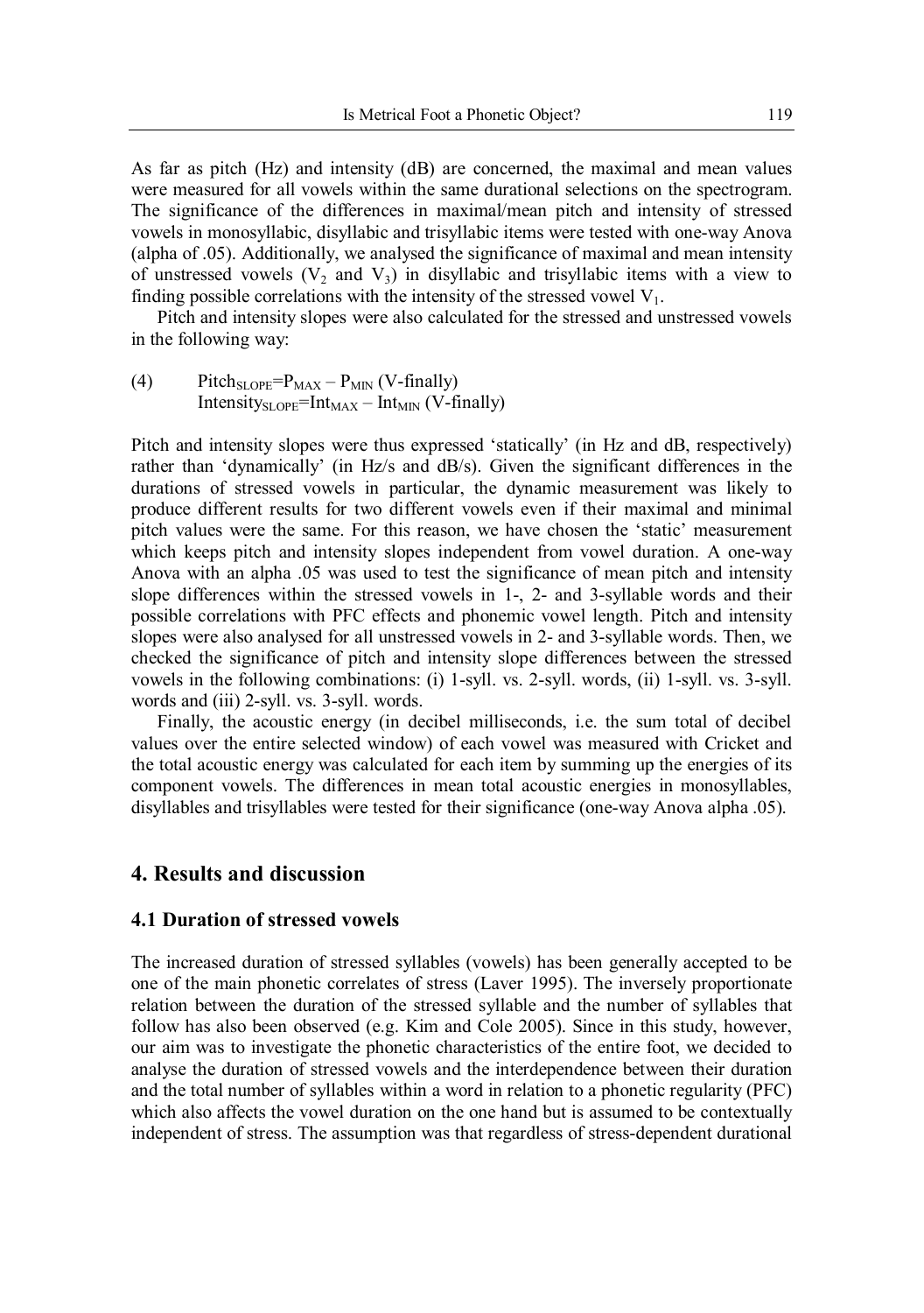As far as pitch (Hz) and intensity (dB) are concerned, the maximal and mean values were measured for all vowels within the same durational selections on the spectrogram. The significance of the differences in maximal/mean pitch and intensity of stressed vowels in monosyllabic, disyllabic and trisyllabic items were tested with one-way Anova (alpha of .05). Additionally, we analysed the significance of maximal and mean intensity of unstressed vowels  $(V_2$  and  $V_3)$  in disyllabic and trisyllabic items with a view to finding possible correlations with the intensity of the stressed vowel  $V_1$ .

Pitch and intensity slopes were also calculated for the stressed and unstressed vowels in the following way:

(4) Pitch $_{\text{SLOPE}}=P_{\text{MAX}} - P_{\text{MIN}}$  (V-finally) Intensity $_{\text{SLOPE}}$ =Int<sub>MAX</sub> – Int<sub>MIN</sub> (V-finally)

Pitch and intensity slopes were thus expressed 'statically' (in Hz and dB, respectively) rather than 'dynamically' (in Hz/s and dB/s). Given the significant differences in the durations of stressed vowels in particular, the dynamic measurement was likely to produce different results for two different vowels even if their maximal and minimal pitch values were the same. For this reason, we have chosen the 'static' measurement which keeps pitch and intensity slopes independent from vowel duration. A one-way Anova with an alpha .05 was used to test the significance of mean pitch and intensity slope differences within the stressed vowels in 1-, 2- and 3-syllable words and their possible correlations with PFC effects and phonemic vowel length. Pitch and intensity slopes were also analysed for all unstressed vowels in 2- and 3-syllable words. Then, we checked the significance of pitch and intensity slope differences between the stressed vowels in the following combinations: (i) 1-syll. vs. 2-syll. words, (ii) 1-syll. vs. 3-syll. words and (iii) 2-syll. vs. 3-syll. words.

Finally, the acoustic energy (in decibel milliseconds, i.e. the sum total of decibel values over the entire selected window) of each vowel was measured with Cricket and the total acoustic energy was calculated for each item by summing up the energies of its component vowels. The differences in mean total acoustic energies in monosyllables, disyllables and trisyllables were tested for their significance (one-way Anova alpha .05).

## **4. Results and discussion**

#### **4.1 Duration of stressed vowels**

The increased duration of stressed syllables (vowels) has been generally accepted to be one of the main phonetic correlates of stress (Laver 1995). The inversely proportionate relation between the duration of the stressed syllable and the number of syllables that follow has also been observed (e.g. Kim and Cole 2005). Since in this study, however, our aim was to investigate the phonetic characteristics of the entire foot, we decided to analyse the duration of stressed vowels and the interdependence between their duration and the total number of syllables within a word in relation to a phonetic regularity (PFC) which also affects the vowel duration on the one hand but is assumed to be contextually independent of stress. The assumption was that regardless of stress-dependent durational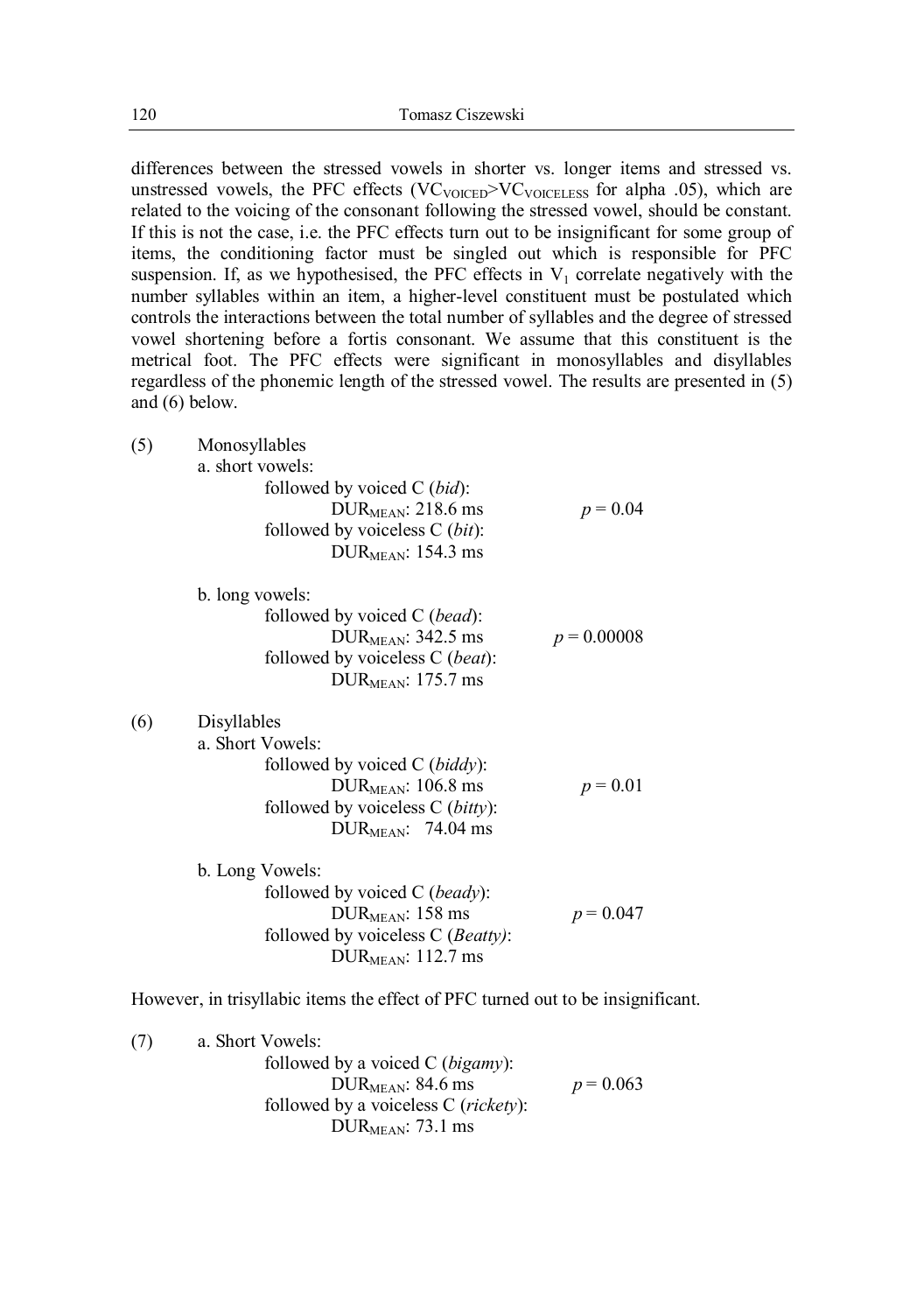differences between the stressed vowels in shorter vs. longer items and stressed vs. unstressed vowels, the PFC effects  $(VC_{VOICED}>VC_{VOICELESS}$  for alpha .05), which are related to the voicing of the consonant following the stressed vowel, should be constant. If this is not the case, i.e. the PFC effects turn out to be insignificant for some group of items, the conditioning factor must be singled out which is responsible for PFC suspension. If, as we hypothesised, the PFC effects in  $V_1$  correlate negatively with the number syllables within an item, a higher-level constituent must be postulated which controls the interactions between the total number of syllables and the degree of stressed vowel shortening before a fortis consonant. We assume that this constituent is the metrical foot. The PFC effects were significant in monosyllables and disyllables regardless of the phonemic length of the stressed vowel. The results are presented in (5) and (6) below.

(5) Monosyllables

a. short vowels:

| $p = 0.04$ |
|------------|
|            |
|            |
|            |

b. long vowels:

| followed by voiced C ( <i>bead</i> ): |               |
|---------------------------------------|---------------|
| DUR $_{\text{MEAN}}$ : 342.5 ms       | $p = 0.00008$ |
| followed by voiceless C (beat):       |               |
| DUR $_{\text{MEAN}}$ : 175.7 ms       |               |

(6) Disyllables

| a. Short Vowels:                            |            |
|---------------------------------------------|------------|
| followed by voiced $C$ ( <i>biddy</i> ):    |            |
| DUR $_{\text{MEAN}}$ : 106.8 ms             | $p = 0.01$ |
| followed by voiceless $C$ ( <i>bitty</i> ): |            |
| DUR $_{MEAN}$ : 74.04 ms                    |            |
|                                             |            |

b. Long Vowels: followed by voiced C (*beady*): DUR<sub>MEAN</sub>: 158 ms  $p = 0.047$ followed by voiceless C (*Beatty)*:  $DUR<sub>MEAN</sub>: 112.7 ms$ 

However, in trisyllabic items the effect of PFC turned out to be insignificant.

(7) a. Short Vowels: followed by a voiced C (*bigamy*): DUR<sub>MEAN</sub>: 84.6 ms  $p = 0.063$ followed by a voiceless C (*rickety*):  $DUR<sub>MEAN</sub>: 73.1 ms$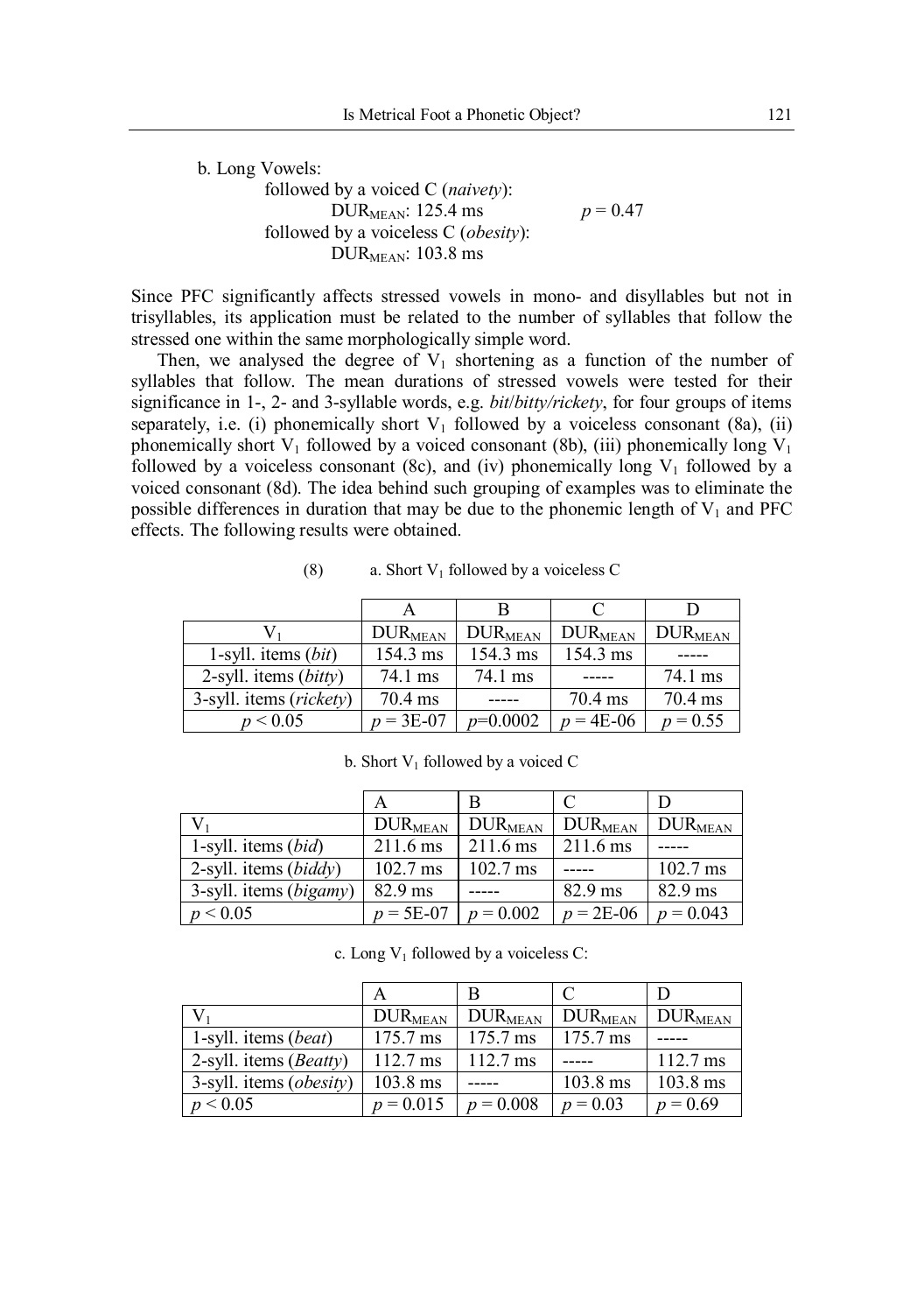b. Long Vowels: followed by a voiced C (*naivety*): DUR<sub>MEAN</sub>: 125.4 ms  $p = 0.47$ followed by a voiceless C (*obesity*): DUR $_{MEAN}$ : 103.8 ms

Since PFC significantly affects stressed vowels in mono- and disyllables but not in trisyllables, its application must be related to the number of syllables that follow the stressed one within the same morphologically simple word.

Then, we analysed the degree of  $V_1$  shortening as a function of the number of syllables that follow. The mean durations of stressed vowels were tested for their significance in 1-, 2- and 3-syllable words, e.g. *bit*/*bitty/rickety*, for four groups of items separately, i.e. (i) phonemically short  $V_1$  followed by a voiceless consonant (8a), (ii) phonemically short  $V_1$  followed by a voiced consonant (8b), (iii) phonemically long  $V_1$ followed by a voiceless consonant (8c), and (iv) phonemically long  $V_1$  followed by a voiced consonant (8d). The idea behind such grouping of examples was to eliminate the possible differences in duration that may be due to the phonemic length of  $V_1$  and PFC effects. The following results were obtained.

|                         | $DUR_{MEAN}$      | <b>DURMEAN</b> | $\rm DUR_{MEAN}$ | $\rm DUR_{MEAN}$ |
|-------------------------|-------------------|----------------|------------------|------------------|
| 1-syll. items $(bit)$   | 154.3 ms          | 154.3 ms       | 154.3 ms         |                  |
| 2-syll. items (bitty)   | 74.1 ms           | 74.1 ms        |                  | 74.1 ms          |
| 3-syll. items (rickety) | $70.4 \text{ ms}$ |                | 70.4 ms          | $70.4$ ms        |
| p < 0.05                | $p = 3E-07$       | $p=0.0002$     | $p = 4E-06$      | $p = 0.55$       |

(8) a. Short  $V_1$  followed by a voiceless C

b. Short  $V_1$  followed by a voiced C

|                                 |                    | B                  |                    |                    |
|---------------------------------|--------------------|--------------------|--------------------|--------------------|
|                                 | $DUR_{MEAN}$       | $\rm DUR_{MEAN}$   | $\rm DUR_{MEAN}$   | $DUR_{MEAN}$       |
| 1-syll. items $(bid)$           | $211.6 \text{ ms}$ | $211.6 \text{ ms}$ | $211.6 \text{ ms}$ |                    |
| 2-syll. items $(biddy)$         | $102.7 \text{ ms}$ | $102.7 \text{ ms}$ |                    | $102.7 \text{ ms}$ |
| 3-syll. items ( <i>bigamy</i> ) | $82.9$ ms          |                    | $82.9$ ms          | 82.9 ms            |
| p < 0.05                        | $p = 5E-07$        | $p = 0.002$        | $p = 2E-06$        | $p = 0.043$        |

c. Long  $V_1$  followed by a voiceless C:

|                                     | $\rm DUR_{MEAN}$   | <b>DURMEAN</b>     | <b>DURMEAN</b>     | $\rm DUR_{MEAN}$   |
|-------------------------------------|--------------------|--------------------|--------------------|--------------------|
| 1-syll. items (beat)                | $175.7 \text{ ms}$ | 175.7 ms           | 175.7 ms           |                    |
| 2-syll. items $(Beatty)$            | $112.7 \text{ ms}$ | $112.7 \text{ ms}$ |                    | $112.7 \text{ ms}$ |
| $3$ -syll. items ( <i>obesity</i> ) | $103.8$ ms         |                    | $103.8 \text{ ms}$ | 103.8 ms           |
| p < 0.05                            | $p = 0.015$        | $p = 0.008$        | $p = 0.03$         | $p = 0.69$         |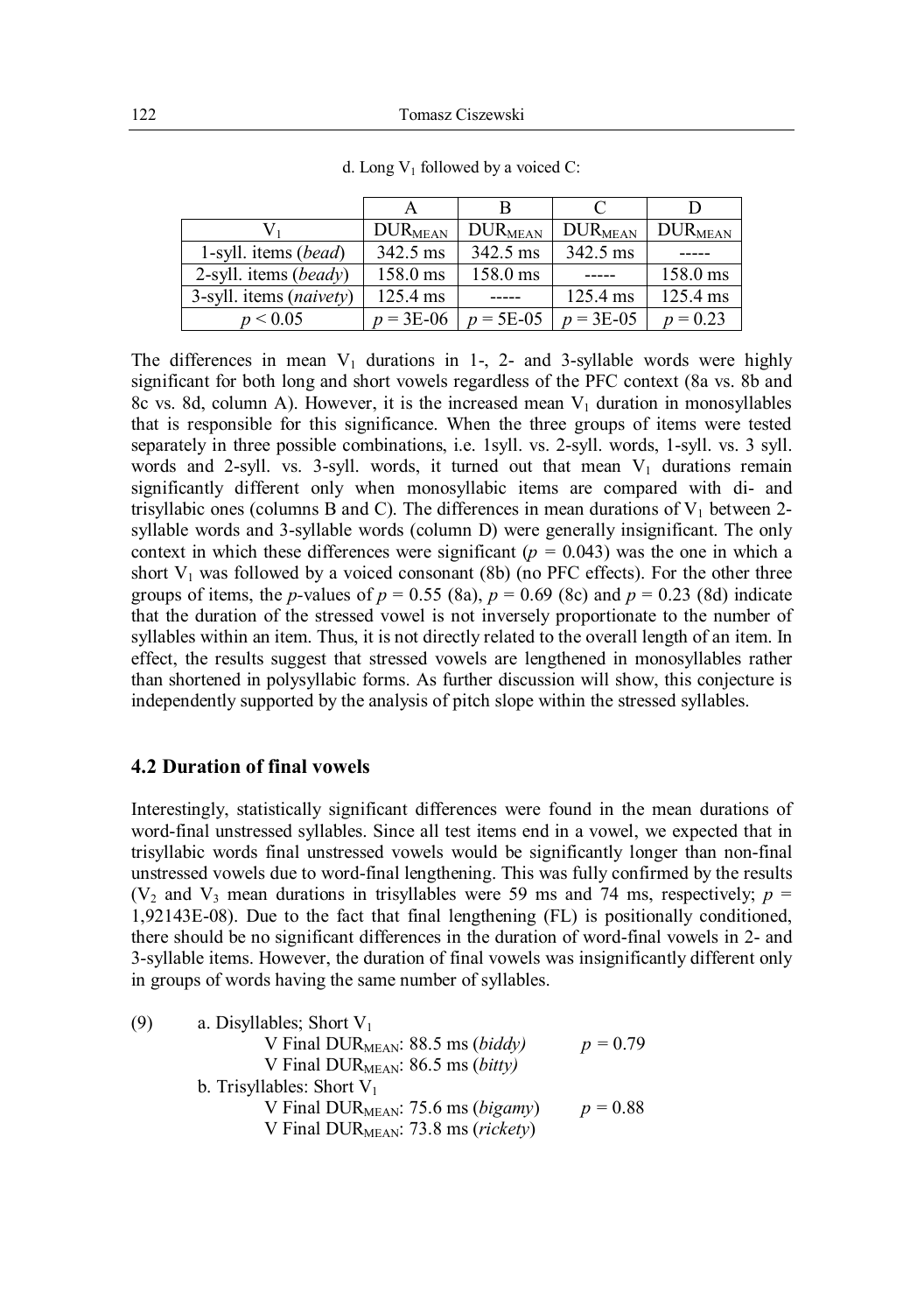|                                  | $DUR_{MEAN}$       | <b>DURMEAN</b> | $\rm DUR_{MEAN}$   | $DUR_{MEAN}$ |
|----------------------------------|--------------------|----------------|--------------------|--------------|
| 1-syll. items (bead)             | $342.5 \text{ ms}$ | 342.5 ms       | 342.5 ms           |              |
| 2-syll. items ( <i>beady</i> )   | $158.0 \text{ ms}$ | 158.0 ms       | -----              | 158.0 ms     |
| 3-syll. items ( <i>naivety</i> ) | 125.4 ms           |                | $125.4 \text{ ms}$ | 125.4 ms     |
| p < 0.05                         | $p = 3E-06$        | $p = 5E-05$    | $p = 3E-05$        | $p = 0.23$   |

d. Long  $V_1$  followed by a voiced C:

The differences in mean  $V_1$  durations in 1-, 2- and 3-syllable words were highly significant for both long and short vowels regardless of the PFC context (8a vs. 8b and 8c vs. 8d, column A). However, it is the increased mean  $V_1$  duration in monosyllables that is responsible for this significance. When the three groups of items were tested separately in three possible combinations, i.e. 1syll. vs. 2-syll. words, 1-syll. vs. 3 syll. words and 2-syll. vs. 3-syll. words, it turned out that mean  $V_1$  durations remain significantly different only when monosyllabic items are compared with di- and trisyllabic ones (columns B and C). The differences in mean durations of  $V_1$  between 2syllable words and 3-syllable words (column D) were generally insignificant. The only context in which these differences were significant ( $p = 0.043$ ) was the one in which a short  $V_1$  was followed by a voiced consonant (8b) (no PFC effects). For the other three groups of items, the *p*-values of  $p = 0.55$  (8a),  $p = 0.69$  (8c) and  $p = 0.23$  (8d) indicate that the duration of the stressed vowel is not inversely proportionate to the number of syllables within an item. Thus, it is not directly related to the overall length of an item. In effect, the results suggest that stressed vowels are lengthened in monosyllables rather than shortened in polysyllabic forms. As further discussion will show, this conjecture is independently supported by the analysis of pitch slope within the stressed syllables.

#### **4.2 Duration of final vowels**

Interestingly, statistically significant differences were found in the mean durations of word-final unstressed syllables. Since all test items end in a vowel, we expected that in trisyllabic words final unstressed vowels would be significantly longer than non-final unstressed vowels due to word-final lengthening. This was fully confirmed by the results ( $V_2$  and  $V_3$  mean durations in trisyllables were 59 ms and 74 ms, respectively;  $p =$ 1,92143E-08). Due to the fact that final lengthening (FL) is positionally conditioned, there should be no significant differences in the duration of word-final vowels in 2- and 3-syllable items. However, the duration of final vowels was insignificantly different only in groups of words having the same number of syllables.

| (9) | a. Disyllables: Short $V_1$                              |            |
|-----|----------------------------------------------------------|------------|
|     | V Final DUR $_{MEAN}$ : 88.5 ms (biddy)                  | $p = 0.79$ |
|     | V Final DUR $_{MEAN}$ : 86.5 ms ( <i>bitty</i> )         |            |
|     | b. Trisyllables: Short $V_1$                             |            |
|     | V Final DUR $_{\text{MEAN}}$ : 75.6 ms ( <i>bigamy</i> ) | $p = 0.88$ |
|     | V Final DUR $_{MEAN}$ : 73.8 ms ( <i>rickety</i> )       |            |
|     |                                                          |            |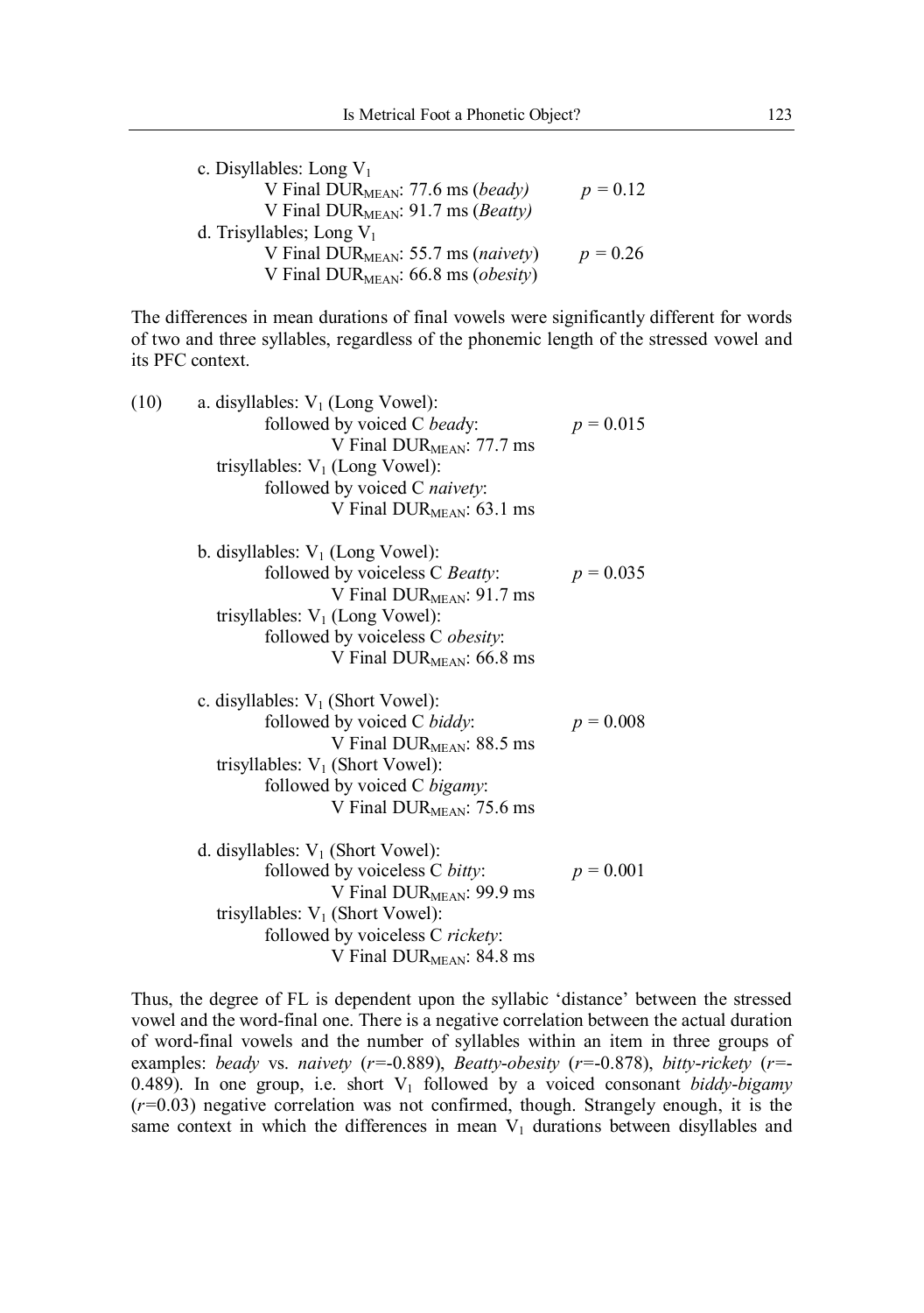| c. Disyllables: Long $V_1$                         |            |
|----------------------------------------------------|------------|
| V Final DUR $_{MEAN}$ : 77.6 ms (beady)            | $p = 0.12$ |
| V Final DUR $_{MEAN}$ : 91.7 ms ( <i>Beatty</i> )  |            |
| d. Trisyllables; Long $V_1$                        |            |
| V Final DUR $_{MEAN}$ : 55.7 ms ( <i>naivety</i> ) | $p = 0.26$ |
| V Final DUR $_{MEAN}$ : 66.8 ms ( <i>obesity</i> ) |            |

The differences in mean durations of final vowels were significantly different for words of two and three syllables, regardless of the phonemic length of the stressed vowel and its PFC context.

| (10) | a. disyllables: $V_1$ (Long Vowel):    |             |
|------|----------------------------------------|-------------|
|      | followed by voiced C beady:            | $p = 0.015$ |
|      | V Final DUR $_{\text{MEAN}}$ : 77.7 ms |             |
|      | trisyllables: $V_1$ (Long Vowel):      |             |
|      | followed by voiced C naivety:          |             |
|      | V Final $DUR_{MEAN}$ : 63.1 ms         |             |
|      | b. disyllables: $V_1$ (Long Vowel):    |             |
|      | followed by voiceless C Beatty:        | $p = 0.035$ |
|      | V Final DURMEAN: 91.7 ms               |             |
|      | trisyllables: $V_1$ (Long Vowel):      |             |
|      | followed by voiceless C obesity:       |             |
|      | V Final DUR $_{MEAN}$ : 66.8 ms        |             |
|      | c. disyllables: $V_1$ (Short Vowel):   |             |
|      | followed by voiced C biddy:            | $p = 0.008$ |
|      | V Final DUR $_{MEAN}$ : 88.5 ms        |             |
|      | trisyllables: $V_1$ (Short Vowel):     |             |
|      | followed by voiced C bigamy:           |             |
|      | V Final DURMEAN: 75.6 ms               |             |
|      | d. disyllables: $V_1$ (Short Vowel):   |             |
|      | followed by voiceless C bitty:         | $p = 0.001$ |
|      | V Final $DUR_{MEAN}$ : 99.9 ms         |             |
|      | trisyllables: $V_1$ (Short Vowel):     |             |
|      | followed by voiceless C rickety:       |             |
|      | V Final DUR <sub>MEAN</sub> : 84.8 ms  |             |
|      |                                        |             |

Thus, the degree of FL is dependent upon the syllabic 'distance' between the stressed vowel and the word-final one. There is a negative correlation between the actual duration of word-final vowels and the number of syllables within an item in three groups of examples: *beady* vs. *naivety* (*r=*-0.889), *Beatty*-*obesity* (*r=*-0.878), *bitty*-*rickety* (*r=*- 0.489). In one group, i.e. short  $V_1$  followed by a voiced consonant *biddy-bigamy* (*r=*0.03) negative correlation was not confirmed, though. Strangely enough, it is the same context in which the differences in mean  $V_1$  durations between disyllables and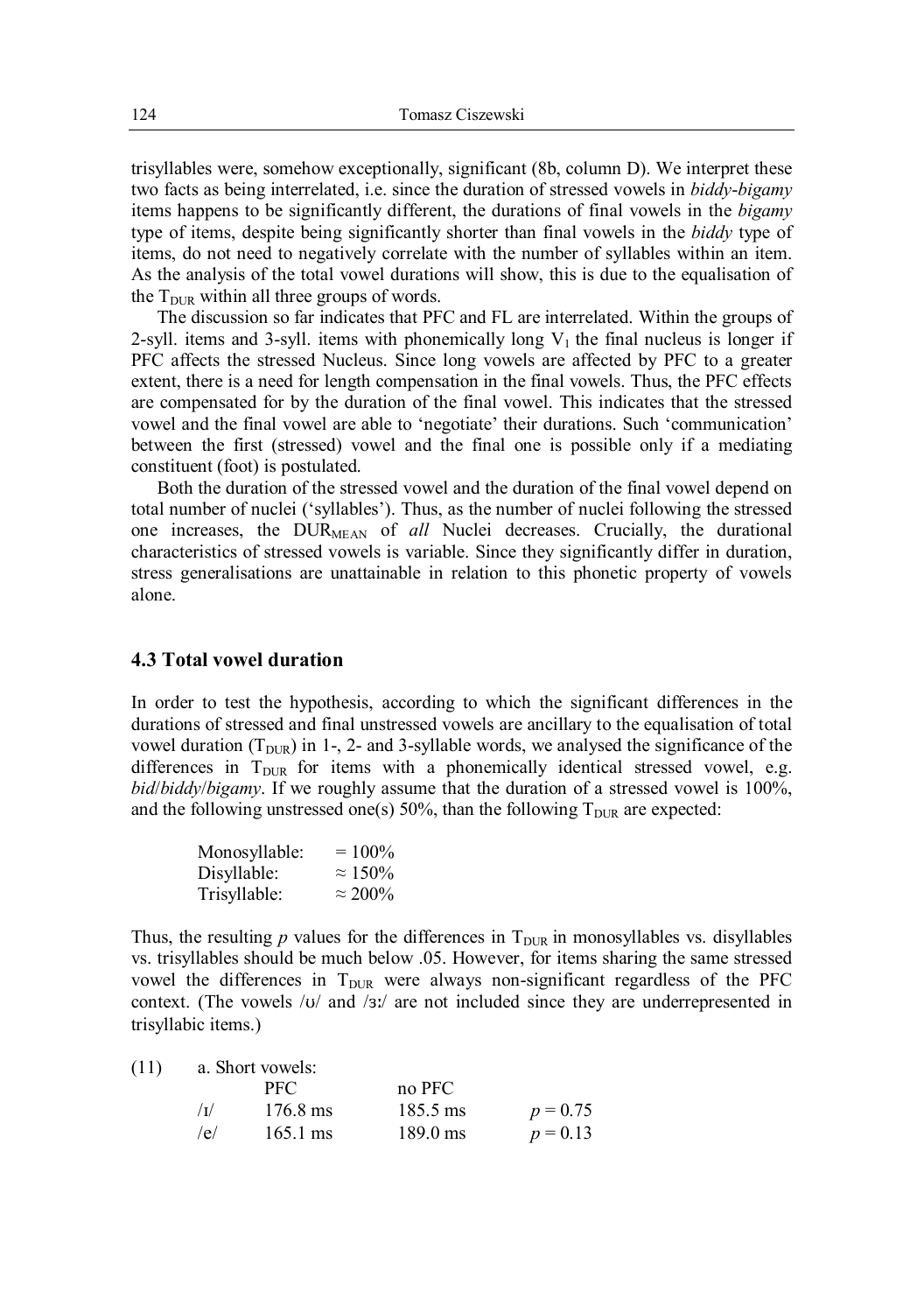trisyllables were, somehow exceptionally, significant (8b, column D). We interpret these two facts as being interrelated, i.e. since the duration of stressed vowels in *biddy*-*bigamy* items happens to be significantly different, the durations of final vowels in the *bigamy* type of items, despite being significantly shorter than final vowels in the *biddy* type of items, do not need to negatively correlate with the number of syllables within an item. As the analysis of the total vowel durations will show, this is due to the equalisation of the  $T_{\text{DUR}}$  within all three groups of words.

The discussion so far indicates that PFC and FL are interrelated. Within the groups of 2-syll. items and 3-syll. items with phonemically long  $V_1$  the final nucleus is longer if PFC affects the stressed Nucleus. Since long vowels are affected by PFC to a greater extent, there is a need for length compensation in the final vowels. Thus, the PFC effects are compensated for by the duration of the final vowel. This indicates that the stressed vowel and the final vowel are able to 'negotiate' their durations. Such 'communication' between the first (stressed) vowel and the final one is possible only if a mediating constituent (foot) is postulated.

Both the duration of the stressed vowel and the duration of the final vowel depend on total number of nuclei ('syllables'). Thus, as the number of nuclei following the stressed one increases, the DURMEAN of *all* Nuclei decreases. Crucially, the durational characteristics of stressed vowels is variable. Since they significantly differ in duration, stress generalisations are unattainable in relation to this phonetic property of vowels alone.

### **4.3 Total vowel duration**

In order to test the hypothesis, according to which the significant differences in the durations of stressed and final unstressed vowels are ancillary to the equalisation of total vowel duration ( $T_{\text{DUR}}$ ) in 1-, 2- and 3-syllable words, we analysed the significance of the differences in  $T_{DUR}$  for items with a phonemically identical stressed vowel, e.g. *bid*/*biddy*/*bigamy*. If we roughly assume that the duration of a stressed vowel is 100%, and the following unstressed one(s) 50%, than the following  $T_{\text{DUR}}$  are expected:

| Monosyllable: | $= 100\%$       |
|---------------|-----------------|
| Disyllable:   | $\approx 150\%$ |
| Trisyllable:  | $\approx 200\%$ |

Thus, the resulting  $p$  values for the differences in  $T_{\text{DUR}}$  in monosyllables vs. disyllables vs. trisyllables should be much below .05. However, for items sharing the same stressed vowel the differences in  $T_{\text{DUR}}$  were always non-significant regardless of the PFC context. (The vowels  $/\nu$  and  $/\nu$  are not included since they are underrepresented in trisyllabic items.)

(11) a. Short vowels:

|            | PFC.               | no PFC             |            |
|------------|--------------------|--------------------|------------|
| $\sqrt{I}$ | 176.8 ms           | 185.5 ms           | $p = 0.75$ |
| /e/        | $165.1 \text{ ms}$ | $189.0 \text{ ms}$ | $p = 0.13$ |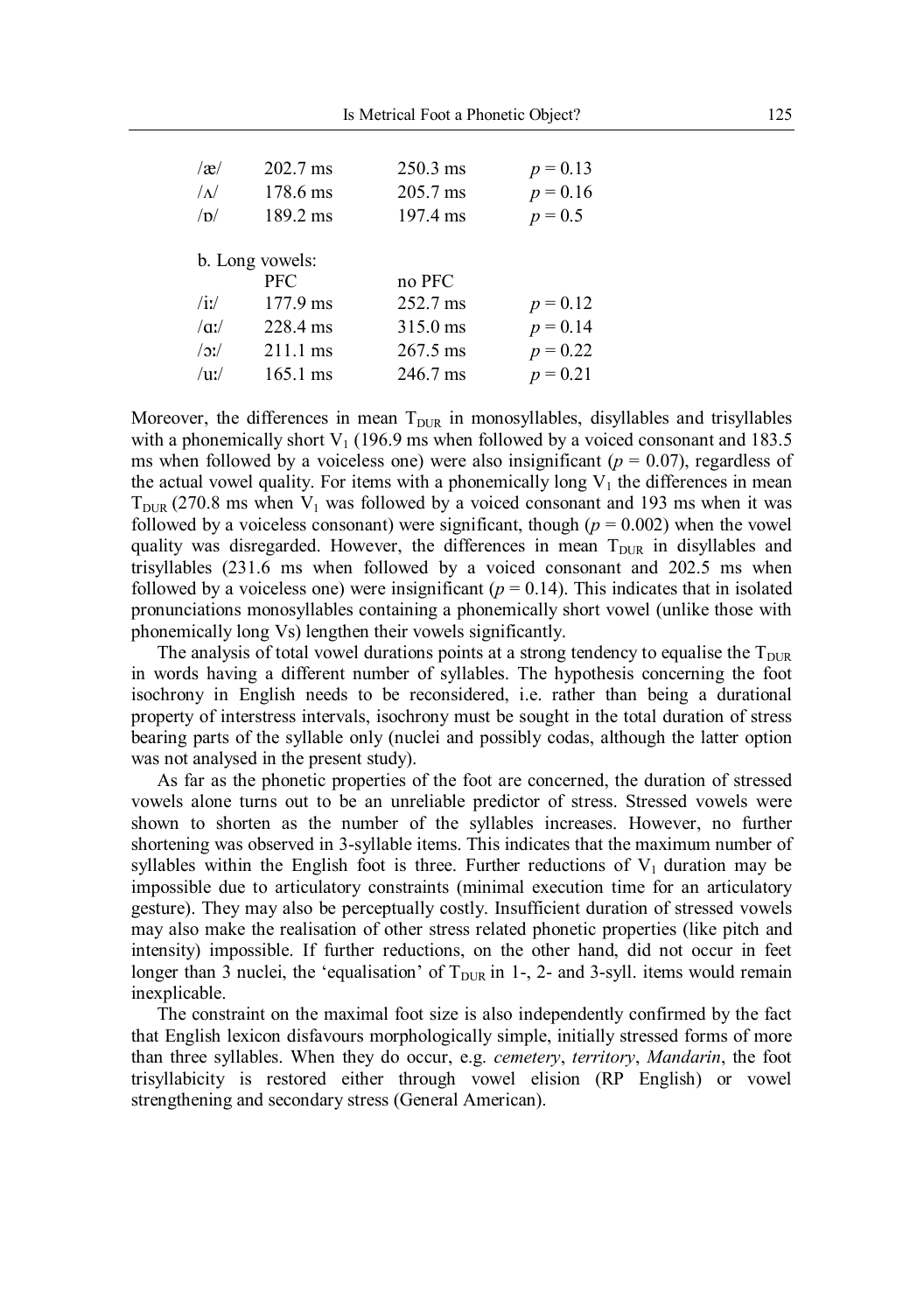| $\alpha$        | $202.7 \text{ ms}$ | $250.3$ ms         | $p = 0.13$ |
|-----------------|--------------------|--------------------|------------|
| $\Lambda$       | 178.6 ms           | 205.7 ms           | $p = 0.16$ |
| /p/             | 189.2 ms           | 197.4 ms           | $p = 0.5$  |
| b. Long vowels: |                    |                    |            |
|                 | <b>PFC</b>         | no PFC             |            |
| /ii             | 177.9 ms           | 252.7 ms           | $p = 0.12$ |
| $\alpha$ .      | 228.4 ms           | 315.0 ms           | $p = 0.14$ |
| $/2$ :/         | 211.1 ms           | $267.5 \text{ ms}$ | $p = 0.22$ |
| $/$ u:/         | $165.1 \text{ ms}$ | 246.7 ms           | $p = 0.21$ |

Moreover, the differences in mean  $T_{DUR}$  in monosyllables, disyllables and trisyllables with a phonemically short  $V_1$  (196.9 ms when followed by a voiced consonant and 183.5 ms when followed by a voiceless one) were also insignificant ( $p = 0.07$ ), regardless of the actual vowel quality. For items with a phonemically long  $V_1$  the differences in mean  $T_{\text{DUR}}$  (270.8 ms when  $V_1$  was followed by a voiced consonant and 193 ms when it was followed by a voiceless consonant) were significant, though  $(p = 0.002)$  when the vowel quality was disregarded. However, the differences in mean  $T_{\text{DUR}}$  in disyllables and trisyllables (231.6 ms when followed by a voiced consonant and 202.5 ms when followed by a voiceless one) were insignificant ( $p = 0.14$ ). This indicates that in isolated pronunciations monosyllables containing a phonemically short vowel (unlike those with phonemically long Vs) lengthen their vowels significantly.

The analysis of total vowel durations points at a strong tendency to equalise the  $T_{\text{DUR}}$ in words having a different number of syllables. The hypothesis concerning the foot isochrony in English needs to be reconsidered, i.e. rather than being a durational property of interstress intervals, isochrony must be sought in the total duration of stress bearing parts of the syllable only (nuclei and possibly codas, although the latter option was not analysed in the present study).

As far as the phonetic properties of the foot are concerned, the duration of stressed vowels alone turns out to be an unreliable predictor of stress. Stressed vowels were shown to shorten as the number of the syllables increases. However, no further shortening was observed in 3-syllable items. This indicates that the maximum number of syllables within the English foot is three. Further reductions of  $V_1$  duration may be impossible due to articulatory constraints (minimal execution time for an articulatory gesture). They may also be perceptually costly. Insufficient duration of stressed vowels may also make the realisation of other stress related phonetic properties (like pitch and intensity) impossible. If further reductions, on the other hand, did not occur in feet longer than 3 nuclei, the 'equalisation' of  $T_{\text{DUR}}$  in 1-, 2- and 3-syll. items would remain inexplicable.

The constraint on the maximal foot size is also independently confirmed by the fact that English lexicon disfavours morphologically simple, initially stressed forms of more than three syllables. When they do occur, e.g. *cemetery*, *territory*, *Mandarin*, the foot trisyllabicity is restored either through vowel elision (RP English) or vowel strengthening and secondary stress (General American).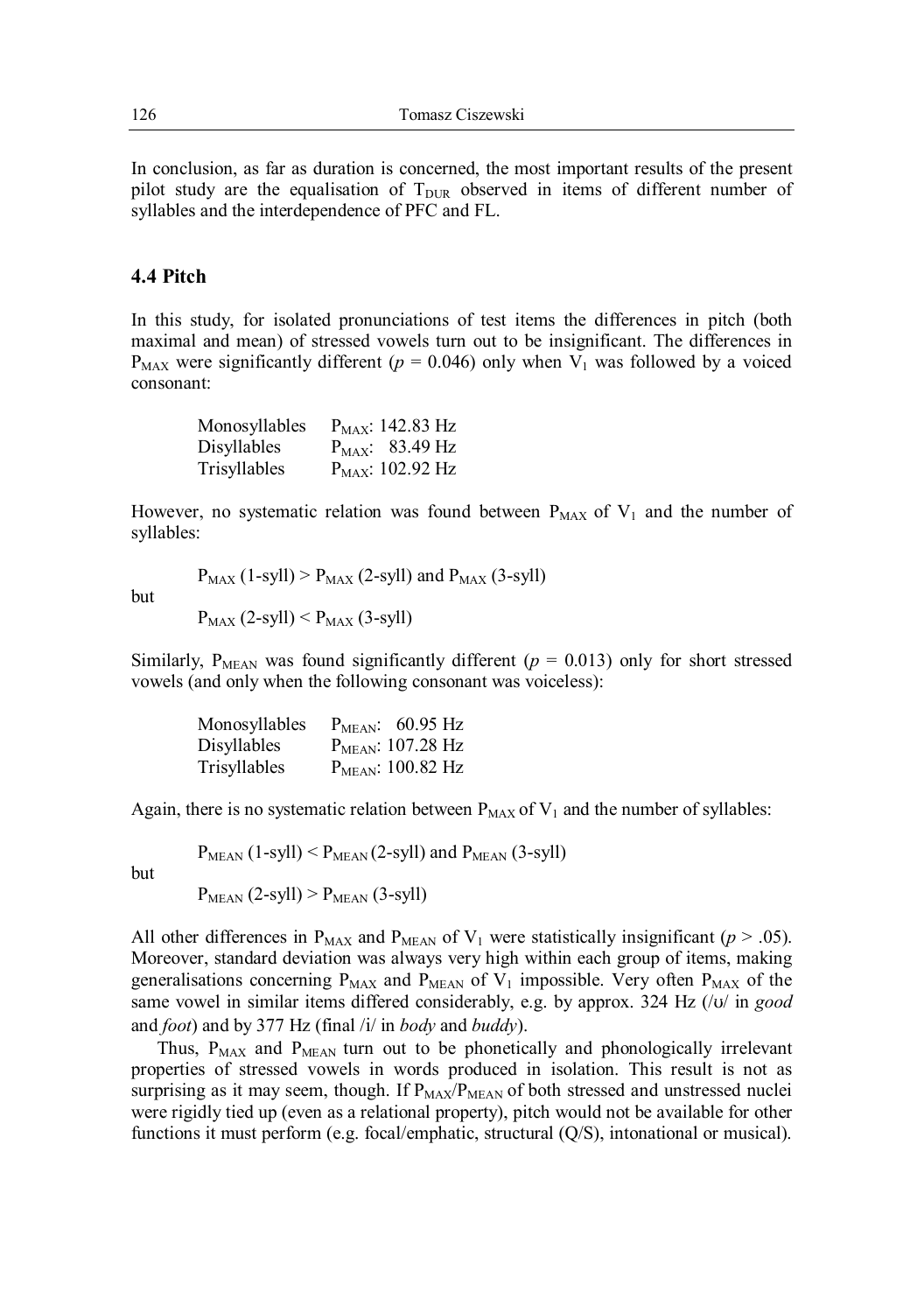In conclusion, as far as duration is concerned, the most important results of the present pilot study are the equalisation of  $T_{\text{DUR}}$  observed in items of different number of syllables and the interdependence of PFC and FL.

#### **4.4 Pitch**

In this study, for isolated pronunciations of test items the differences in pitch (both maximal and mean) of stressed vowels turn out to be insignificant. The differences in  $P_{MAX}$  were significantly different ( $p = 0.046$ ) only when  $V_1$  was followed by a voiced consonant:

| Monosyllables | $P_{MAX}$ : 142.83 Hz |
|---------------|-----------------------|
| Disyllables   | $P_{MAX}$ : 83.49 Hz  |
| Trisyllables  | $P_{MAX}$ : 102.92 Hz |

However, no systematic relation was found between  $P_{MAX}$  of  $V_1$  and the number of syllables:

but

 $P_{MAX}$  (1-syll) >  $P_{MAX}$  (2-syll) and  $P_{MAX}$  (3-syll)

 $P_{MAX}$  (2-syll) <  $P_{MAX}$  (3-syll)

Similarly, P<sub>MEAN</sub> was found significantly different ( $p = 0.013$ ) only for short stressed vowels (and only when the following consonant was voiceless):

| Monosyllables | $PMEAN$ : 60.95 Hz            |
|---------------|-------------------------------|
| Disyllables   | P <sub>MEAN</sub> : 107.28 Hz |
| Trisyllables  | P <sub>MEAN</sub> : 100.82 Hz |

Again, there is no systematic relation between  $P_{MAX}$  of  $V_1$  and the number of syllables:

 $P_{MEAN}$  (1-syll) <  $P_{MEAN}$  (2-syll) and  $P_{MEAN}$  (3-syll)

but

 $P_{MEAN}$  (2-syll) >  $P_{MEAN}$  (3-syll)

All other differences in  $P_{MAX}$  and  $P_{MEAR}$  of  $V_1$  were statistically insignificant ( $p > .05$ ). Moreover, standard deviation was always very high within each group of items, making generalisations concerning  $P_{MAX}$  and  $P_{MEAN}$  of  $V_1$  impossible. Very often  $P_{MAX}$  of the same vowel in similar items differed considerably, e.g. by approx. 324 Hz (/v/ in *good* and *foot*) and by 377 Hz (final /i/ in *body* and *buddy*).

Thus,  $P_{MAX}$  and  $P_{MEAN}$  turn out to be phonetically and phonologically irrelevant properties of stressed vowels in words produced in isolation. This result is not as surprising as it may seem, though. If  $P_{MAX}/P_{MEAN}$  of both stressed and unstressed nuclei were rigidly tied up (even as a relational property), pitch would not be available for other functions it must perform (e.g. focal/emphatic, structural (Q/S), intonational or musical).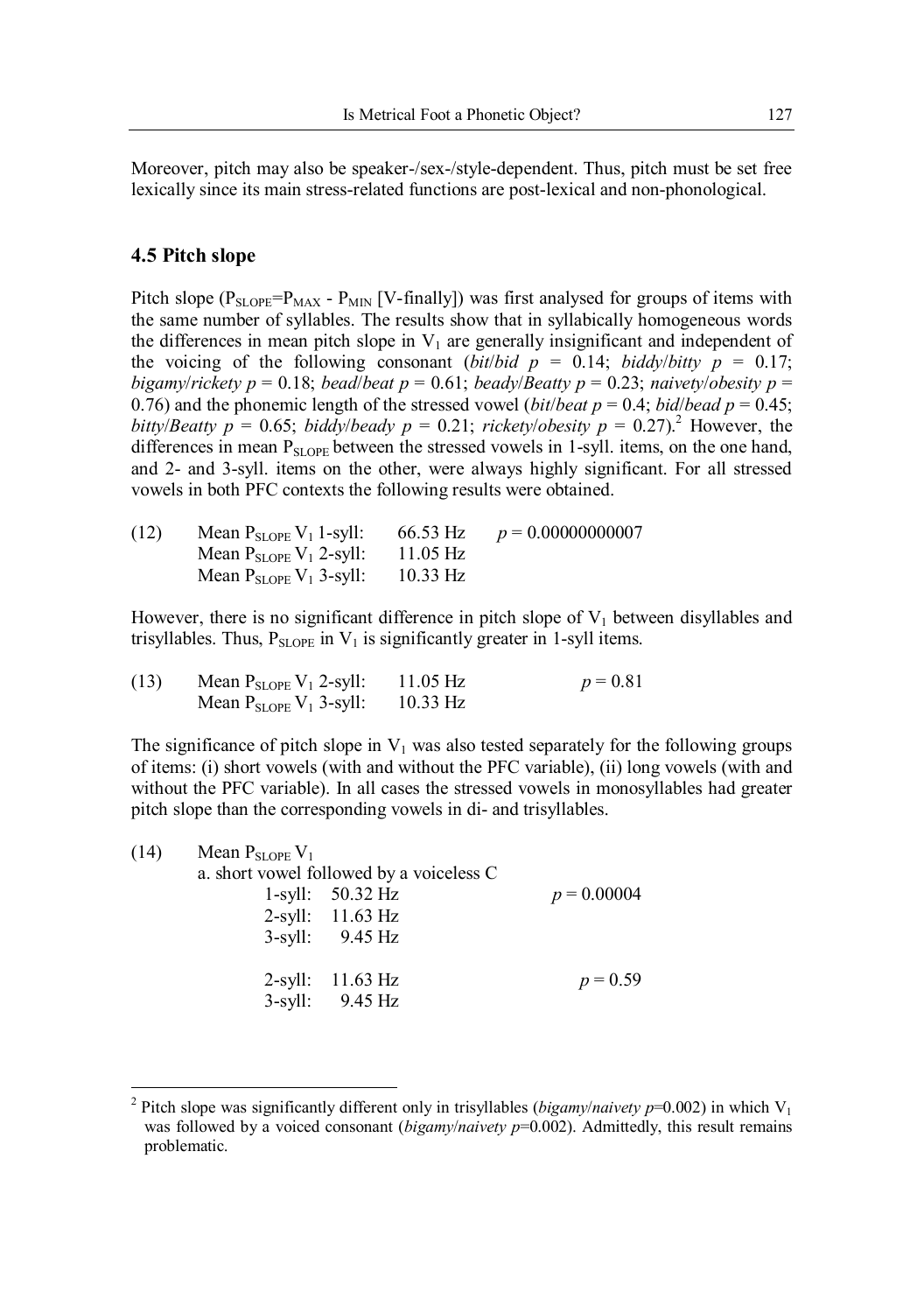Moreover, pitch may also be speaker-/sex-/style-dependent. Thus, pitch must be set free lexically since its main stress-related functions are post-lexical and non-phonological.

#### **4.5 Pitch slope**

 $\ddot{\phantom{a}}$ 

Pitch slope ( $P_{SLOPE} = P_{MAX} - P_{MIN}$  [V-finally]) was first analysed for groups of items with the same number of syllables. The results show that in syllabically homogeneous words the differences in mean pitch slope in  $V_1$  are generally insignificant and independent of the voicing of the following consonant (*bit*/*bid*  $p = 0.14$ ; *biddy*/*bitty*  $p = 0.17$ ; *bigamy*/*rickety*  $p = 0.18$ ; *bead*/*beat*  $p = 0.61$ ; *beady*/*Beatty*  $p = 0.23$ ; *naivety*/*obesity*  $p = 0$ 0.76) and the phonemic length of the stressed vowel (*bit*/*beat*  $p = 0.4$ ; *bid*/*bead*  $p = 0.45$ ; *bitty*/*Beatty*  $p = 0.65$ ; *biddy*/*beady*  $p = 0.21$ ; *rickety*/*obesity*  $p = 0.27$ ).<sup>2</sup> However, the differences in mean  $P_{\text{SI OPE}}$  between the stressed vowels in 1-syll. items, on the one hand, and 2- and 3-syll. items on the other, were always highly significant. For all stressed vowels in both PFC contexts the following results were obtained.

| (12) | Mean $P_{SLOPE} V_1$ 1-syll:            | 66.53 Hz           | $p = 0.00000000007$ |
|------|-----------------------------------------|--------------------|---------------------|
|      | Mean $P_{SLOPE}$ $V_1$ 2-syll:          | $11.05 \text{ Hz}$ |                     |
|      | Mean $P_{SLOPE}$ V <sub>1</sub> 3-syll: | $10.33$ Hz         |                     |

However, there is no significant difference in pitch slope of  $V_1$  between disyllables and trisyllables. Thus,  $P_{SLOPE}$  in  $V_1$  is significantly greater in 1-syll items.

| (13) | Mean $P_{SLOPE}$ V <sub>1</sub> 2-syll: | $11.05 \text{ Hz}$ | $p = 0.81$ |
|------|-----------------------------------------|--------------------|------------|
|      | Mean $P_{SLOPE}$ V <sub>1</sub> 3-syll: | $10.33$ Hz         |            |

The significance of pitch slope in  $V_1$  was also tested separately for the following groups of items: (i) short vowels (with and without the PFC variable), (ii) long vowels (with and without the PFC variable). In all cases the stressed vowels in monosyllables had greater pitch slope than the corresponding vowels in di- and trisyllables.

| (14) | Mean $P_{SLOPE}$ $V_1$ | a. short vowel followed by a voiceless C |               |
|------|------------------------|------------------------------------------|---------------|
|      |                        | 1-syll: $50.32 \text{ Hz}$               | $p = 0.00004$ |
|      |                        | $2$ -syll: 11.63 Hz                      |               |
|      |                        | $3$ -syll: $9.45$ Hz                     |               |
|      |                        |                                          |               |
|      |                        | $2$ -syll: 11.63 Hz                      | $p = 0.59$    |
|      |                        | $3$ -syll: $9.45$ Hz                     |               |

<sup>2</sup> Pitch slope was significantly different only in trisyllables (*bigamy/naivety p*=0.002) in which  $V_1$ was followed by a voiced consonant *(bigamy/naivety p*=0.002). Admittedly, this result remains problematic.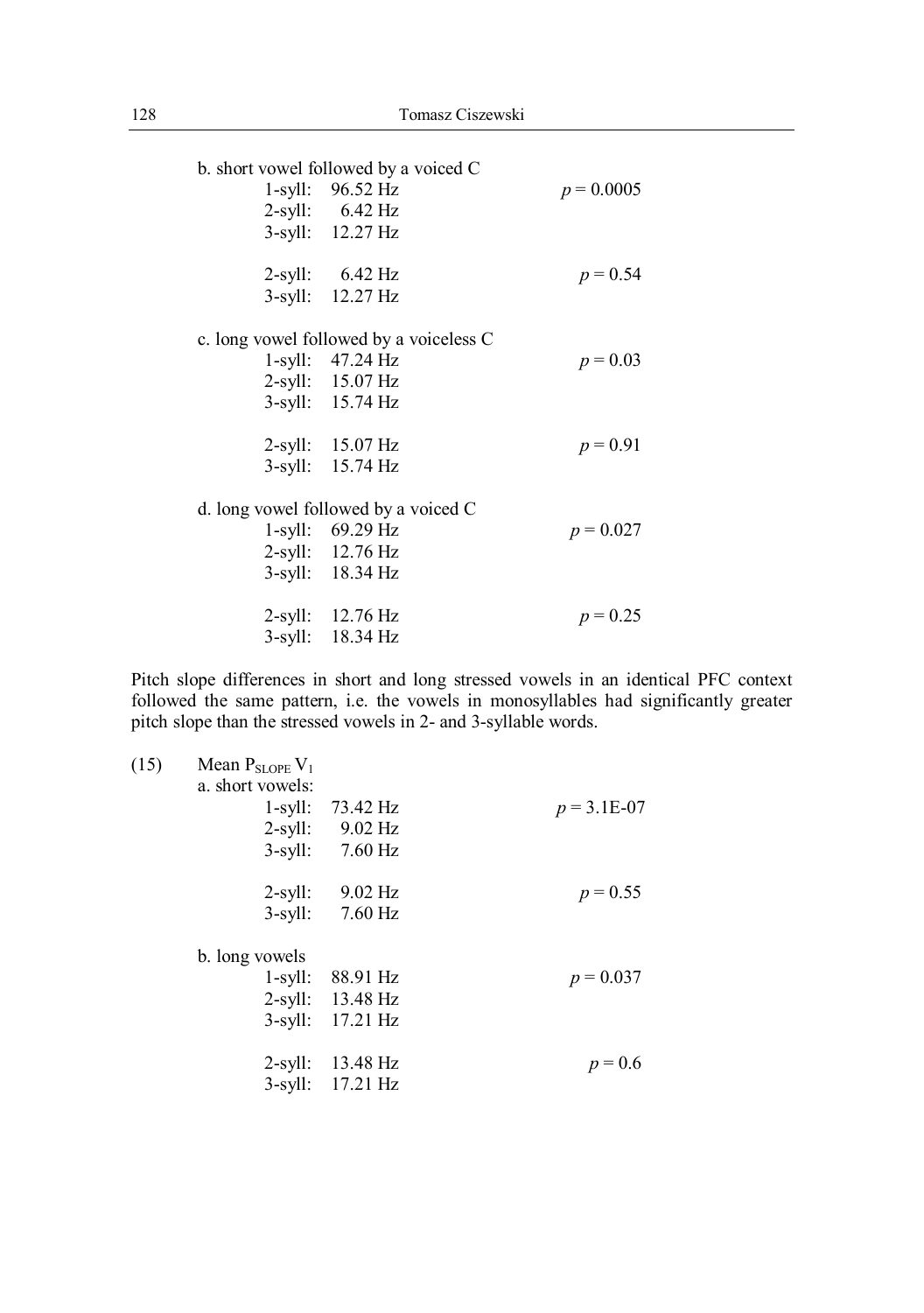b. short vowel followed by a voiced C 1-syll:  $96.52 \text{ Hz}$   $p = 0.0005$ 2-syll: 6.42 Hz 3-syll: 12.27 Hz 2-syll:  $6.42 \text{ Hz}$   $p = 0.54$ 3-syll: 12.27 Hz c. long vowel followed by a voiceless C 1-syll:  $47.24 \text{ Hz}$   $p = 0.03$ 2-syll: 15.07 Hz 3-syll: 15.74 Hz 2-syll:  $15.07 \text{ Hz}$   $p = 0.91$ 3-syll: 15.74 Hz d. long vowel followed by a voiced C 1-syll: 69.29 Hz  $p = 0.027$ 2-syll: 12.76 Hz 3-syll: 18.34 Hz 2-syll: 12.76 Hz *p* = 0.25 3-syll: 18.34 Hz

Pitch slope differences in short and long stressed vowels in an identical PFC context followed the same pattern, i.e. the vowels in monosyllables had significantly greater pitch slope than the stressed vowels in 2- and 3-syllable words.

|               |                      | Mean $P_{SLOPE}V_1$ | (15) |
|---------------|----------------------|---------------------|------|
|               |                      | a. short vowels:    |      |
| $p = 3.1E-07$ | 73.42 Hz             | $1$ -syll:          |      |
|               | $2$ -syll: $9.02$ Hz |                     |      |
|               | 7.60 Hz              | $3$ -syll:          |      |
| $p = 0.55$    | $9.02$ Hz            | $2$ -syll:          |      |
|               | $7.60$ Hz            | $3$ -syll:          |      |
|               |                      | b. long vowels      |      |
| $p = 0.037$   | 88.91 Hz             | 1-syll:             |      |
|               | 2-syll: 13.48 Hz     |                     |      |
|               | 3-syll: 17.21 Hz     |                     |      |
| $p = 0.6$     | 2-syll: 13.48 Hz     |                     |      |
|               | 3-syll: 17.21 Hz     |                     |      |
|               |                      |                     |      |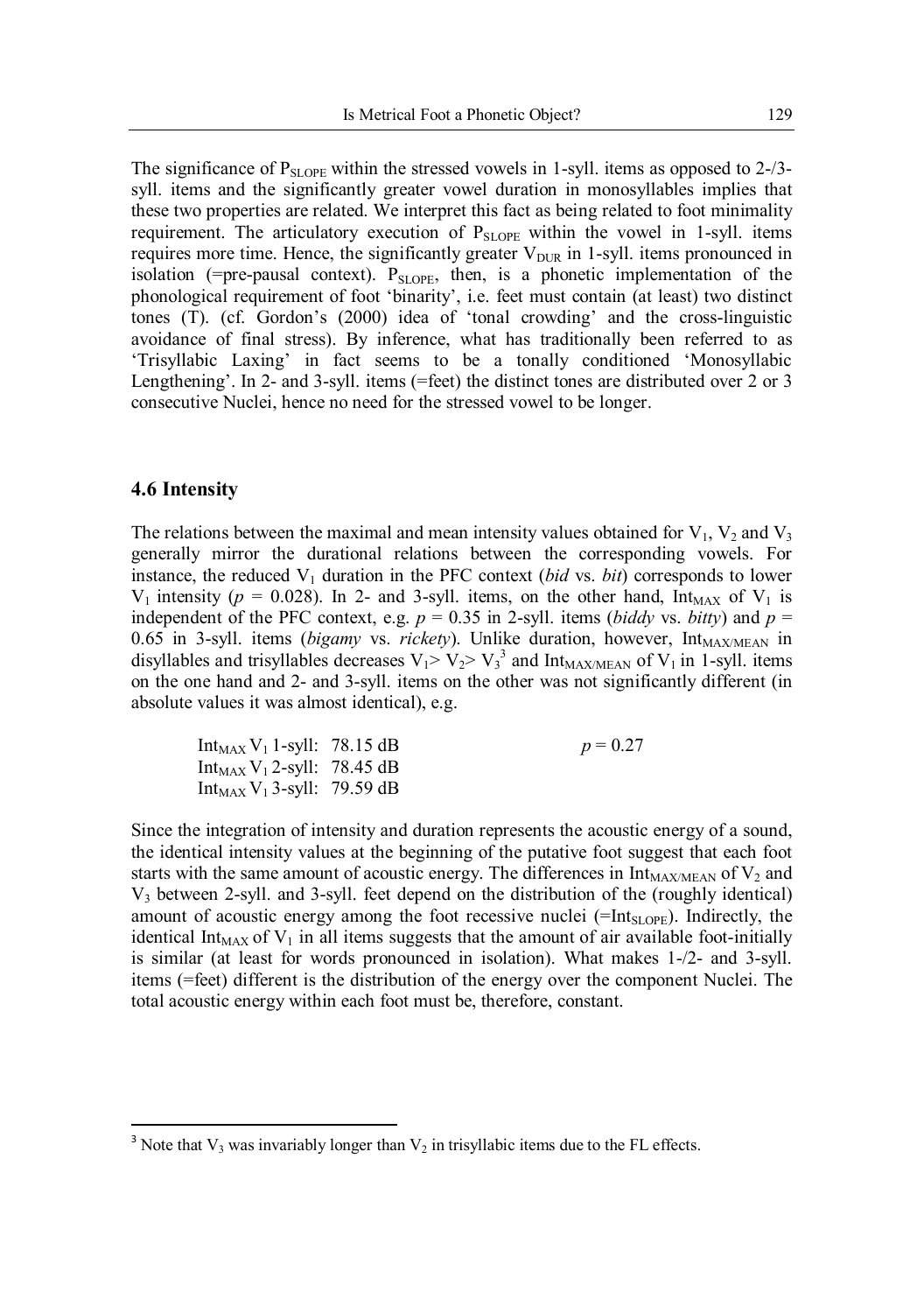The significance of  $P_{\text{SI OPE}}$  within the stressed vowels in 1-syll. items as opposed to 2-/3syll. items and the significantly greater vowel duration in monosyllables implies that these two properties are related. We interpret this fact as being related to foot minimality requirement. The articulatory execution of  $P_{SLOPE}$  within the vowel in 1-syll. items requires more time. Hence, the significantly greater  $V_{\text{DUR}}$  in 1-syll. items pronounced in isolation (=pre-pausal context).  $P_{SLOPE}$ , then, is a phonetic implementation of the phonological requirement of foot 'binarity', i.e. feet must contain (at least) two distinct tones (T). (cf. Gordon's (2000) idea of 'tonal crowding' and the cross-linguistic avoidance of final stress). By inference, what has traditionally been referred to as 'Trisyllabic Laxing' in fact seems to be a tonally conditioned 'Monosyllabic Lengthening'. In 2- and 3-syll. items (=feet) the distinct tones are distributed over 2 or 3 consecutive Nuclei, hence no need for the stressed vowel to be longer.

#### **4.6 Intensity**

 $\overline{a}$ 

The relations between the maximal and mean intensity values obtained for  $V_1$ ,  $V_2$  and  $V_3$ generally mirror the durational relations between the corresponding vowels. For instance, the reduced  $V_1$  duration in the PFC context (*bid* vs. *bit*) corresponds to lower  $V_1$  intensity ( $p = 0.028$ ). In 2- and 3-syll. items, on the other hand, Int<sub>MAX</sub> of  $V_1$  is independent of the PFC context, e.g.  $p = 0.35$  in 2-syll. items (*biddy* vs. *bitty*) and  $p =$ 0.65 in 3-syll. items (*bigamy vs. rickety*). Unlike duration, however, Int<sub>MAX/MEAN</sub> in disyllables and trisyllables decreases  $V_1 > V_2 > V_3^3$  and Int<sub>MAX/MEAN</sub> of  $V_1$  in 1-syll. items on the one hand and 2- and 3-syll. items on the other was not significantly different (in absolute values it was almost identical), e.g.

 $p = 0.27$ 

| Int <sub>MAX</sub> $V_1$ 1-syll: 78.15 dB |  |
|-------------------------------------------|--|
| Int <sub>MAX</sub> $V_1$ 2-syll: 78.45 dB |  |
| Int <sub>MAX</sub> $V_1$ 3-syll: 79.59 dB |  |

Since the integration of intensity and duration represents the acoustic energy of a sound, the identical intensity values at the beginning of the putative foot suggest that each foot starts with the same amount of acoustic energy. The differences in  $Int_{MAX/MEAN}$  of  $V_2$  and V<sup>3</sup> between 2-syll. and 3-syll. feet depend on the distribution of the (roughly identical) amount of acoustic energy among the foot recessive nuclei  $(=\text{Int}_{SLOPE})$ . Indirectly, the identical Int<sub>MAX</sub> of  $V_1$  in all items suggests that the amount of air available foot-initially is similar (at least for words pronounced in isolation). What makes 1-/2- and 3-syll. items (=feet) different is the distribution of the energy over the component Nuclei. The total acoustic energy within each foot must be, therefore, constant.

<sup>&</sup>lt;sup>3</sup> Note that  $V_3$  was invariably longer than  $V_2$  in trisyllabic items due to the FL effects.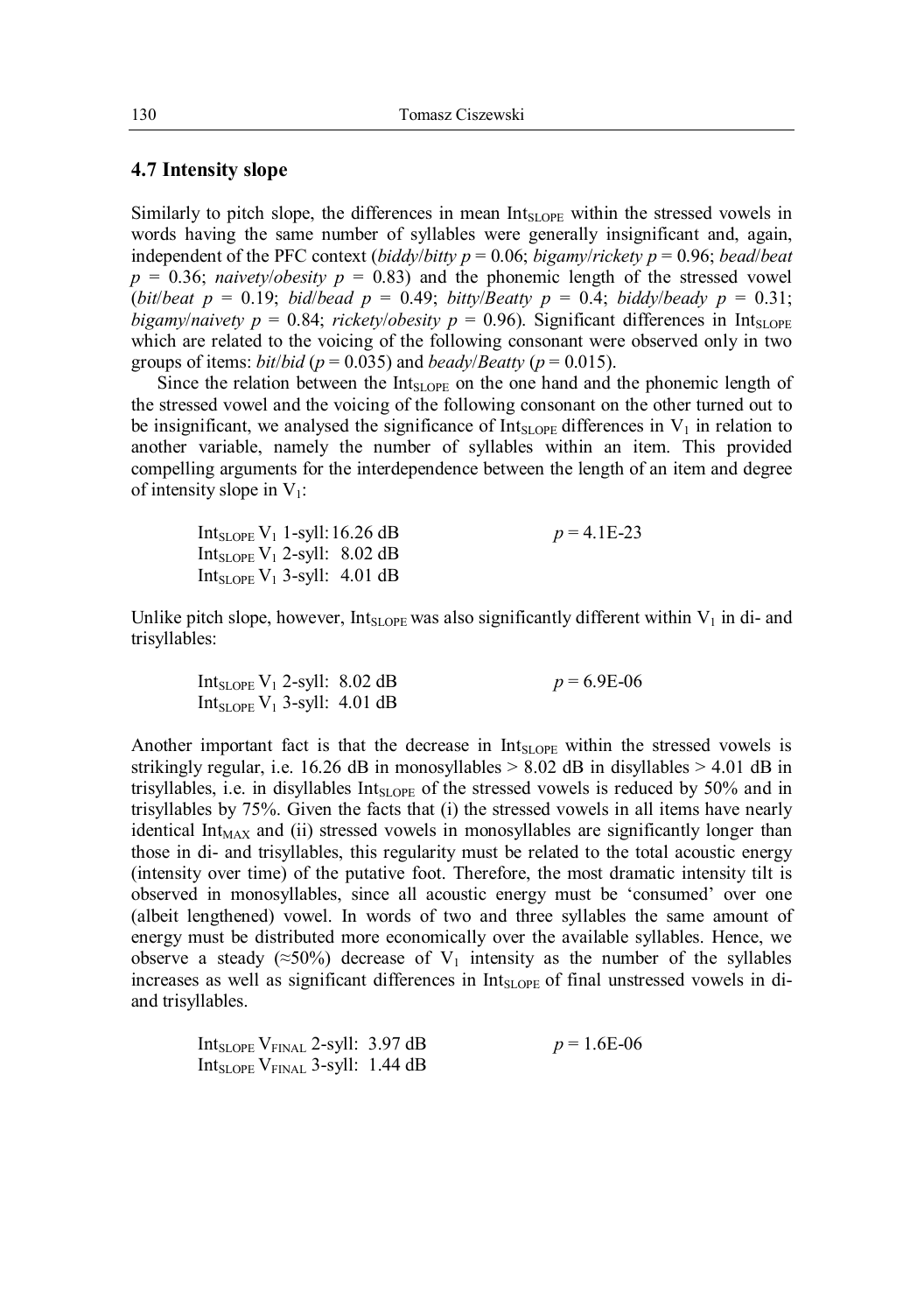#### **4.7 Intensity slope**

Similarly to pitch slope, the differences in mean  $Int_{SI,OPE}$  within the stressed vowels in words having the same number of syllables were generally insignificant and, again, independent of the PFC context (*biddy*/*bitty p* = 0.06; *bigamy*/*rickety p* = 0.96; *bead*/*beat*  $p = 0.36$ ; *naivety*/*obesity*  $p = 0.83$ ) and the phonemic length of the stressed vowel (*bit*/*beat*  $p = 0.19$ ; *bid*/*bead*  $p = 0.49$ ; *bitty*/*Beatty*  $p = 0.4$ ; *biddy*/*beady*  $p = 0.31$ ; *bigamy*/*naivety*  $p = 0.84$ ; *rickety*/*obesity*  $p = 0.96$ ). Significant differences in Int<sub>SLOPE</sub> which are related to the voicing of the following consonant were observed only in two groups of items: *bit*/*bid* ( $p = 0.035$ ) and *beady*/*Beatty* ( $p = 0.015$ ).

Since the relation between the  $Int<sub>SI OPE</sub>$  on the one hand and the phonemic length of the stressed vowel and the voicing of the following consonant on the other turned out to be insignificant, we analysed the significance of  $Int_{SLOPF}$  differences in  $V_1$  in relation to another variable, namely the number of syllables within an item. This provided compelling arguments for the interdependence between the length of an item and degree of intensity slope in  $V_1$ :

| Int $_{\text{SLOPE}}$ V <sub>1</sub> 1-syll: 16.26 dB | $p = 4.1E-23$ |
|-------------------------------------------------------|---------------|
| Int <sub>SLOPE</sub> $V_1$ 2-syll: 8.02 dB            |               |
| Int <sub>SLOPE</sub> $V_1$ 3-syll: 4.01 dB            |               |

Unlike pitch slope, however, Int<sub>SLOPE</sub> was also significantly different within  $V_1$  in di- and trisyllables:

Int<sub>SLOPE</sub> V<sub>1</sub> 2-syll: 8.02 dB  $p = 6.9E-06$ Int<sub>SLOPE</sub>  $V_1$  3-syll: 4.01 dB

Another important fact is that the decrease in  $Int<sub>SLOPE</sub>$  within the stressed vowels is strikingly regular, i.e. 16.26 dB in monosyllables  $> 8.02$  dB in disyllables  $> 4.01$  dB in trisyllables, i.e. in disyllables  $Int<sub>SIOPE</sub>$  of the stressed vowels is reduced by 50% and in trisyllables by 75%. Given the facts that (i) the stressed vowels in all items have nearly identical Int<sub>MAX</sub> and (ii) stressed vowels in monosyllables are significantly longer than those in di- and trisyllables, this regularity must be related to the total acoustic energy (intensity over time) of the putative foot. Therefore, the most dramatic intensity tilt is observed in monosyllables, since all acoustic energy must be 'consumed' over one (albeit lengthened) vowel. In words of two and three syllables the same amount of energy must be distributed more economically over the available syllables. Hence, we observe a steady ( $\approx$ 50%) decrease of V<sub>1</sub> intensity as the number of the syllables increases as well as significant differences in  $Int_{SLOPF}$  of final unstressed vowels in diand trisyllables.

| Int $_{\rm SLOPE}$ V $_{\rm FINAL}$ 2-syll: 3.97 dB     | $p = 1.6E-06$ |
|---------------------------------------------------------|---------------|
| Int <sub>SLOPE</sub> V <sub>FINAL</sub> 3-syll: 1.44 dB |               |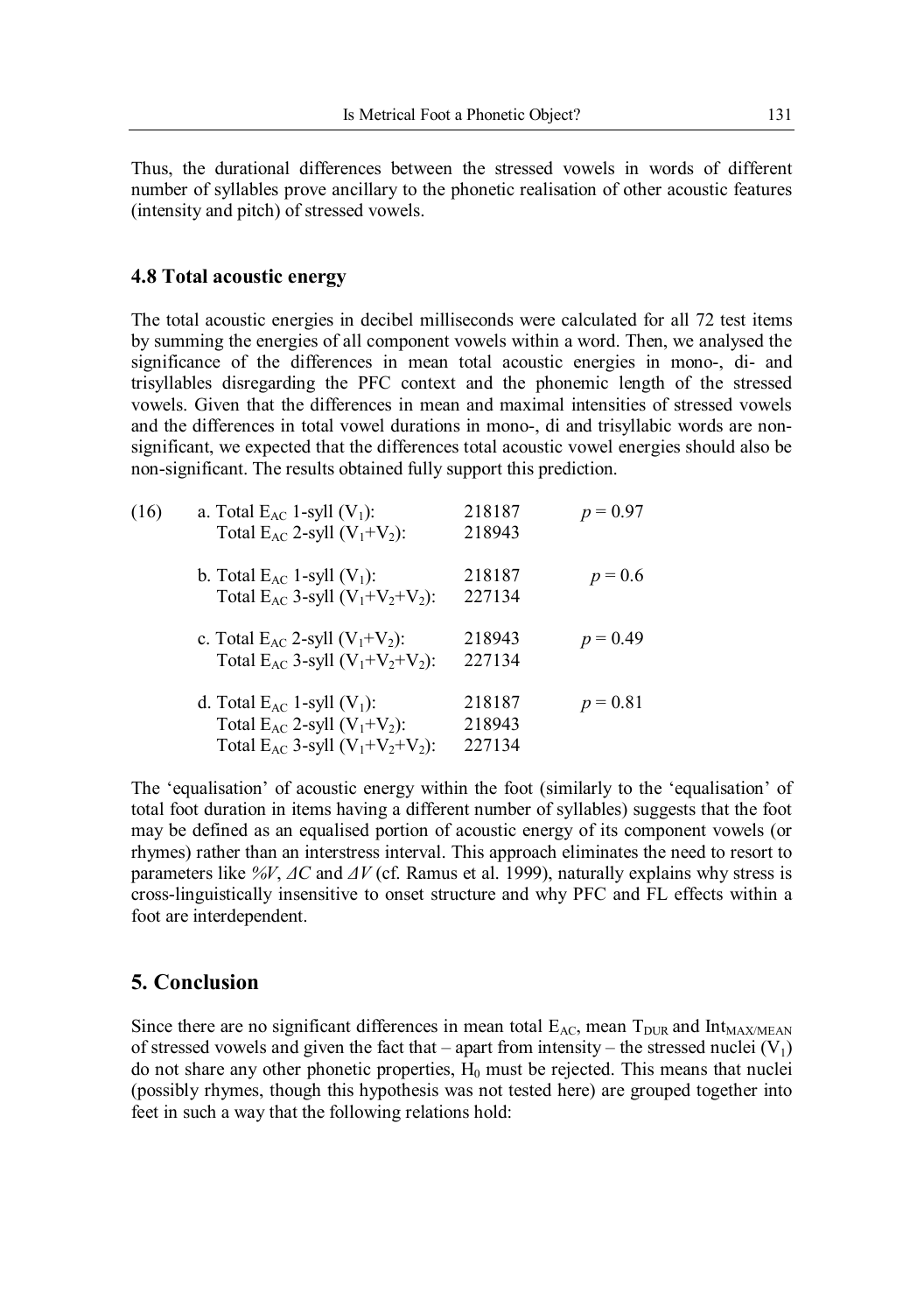Thus, the durational differences between the stressed vowels in words of different number of syllables prove ancillary to the phonetic realisation of other acoustic features (intensity and pitch) of stressed vowels.

#### **4.8 Total acoustic energy**

The total acoustic energies in decibel milliseconds were calculated for all 72 test items by summing the energies of all component vowels within a word. Then, we analysed the significance of the differences in mean total acoustic energies in mono-, di- and trisyllables disregarding the PFC context and the phonemic length of the stressed vowels. Given that the differences in mean and maximal intensities of stressed vowels and the differences in total vowel durations in mono-, di and trisyllabic words are nonsignificant, we expected that the differences total acoustic vowel energies should also be non-significant. The results obtained fully support this prediction.

| (16) | a. Total $E_{AC}$ 1-syll $(V_1)$ :<br>Total $E_{AC}$ 2-syll $(V_1+V_2)$ :                                                   | 218187<br>218943           | $p = 0.97$ |
|------|-----------------------------------------------------------------------------------------------------------------------------|----------------------------|------------|
|      | b. Total $E_{AC}$ 1-syll $(V_1)$ :<br>Total $E_{AC}$ 3-syll $(V_1+V_2+V_2)$ :                                               | 218187<br>227134           | $p = 0.6$  |
|      | c. Total $E_{AC}$ 2-syll $(V_1+V_2)$ :<br>Total E <sub>AC</sub> 3-syll $(V_1+V_2+V_2)$ :                                    | 218943<br>227134           | $p = 0.49$ |
|      | d. Total $E_{AC}$ 1-syll $(V_1)$ :<br>Total $E_{AC}$ 2-syll $(V_1+V_2)$ :<br>Total E <sub>AC</sub> 3-syll $(V_1+V_2+V_2)$ : | 218187<br>218943<br>227134 | $p = 0.81$ |

The 'equalisation' of acoustic energy within the foot (similarly to the 'equalisation' of total foot duration in items having a different number of syllables) suggests that the foot may be defined as an equalised portion of acoustic energy of its component vowels (or rhymes) rather than an interstress interval. This approach eliminates the need to resort to parameters like *%V*, *ΔC* and *ΔV* (cf. Ramus et al. 1999), naturally explains why stress is cross-linguistically insensitive to onset structure and why PFC and FL effects within a foot are interdependent.

## **5. Conclusion**

Since there are no significant differences in mean total  $E_{AC}$ , mean  $T_{DUR}$  and  $Int_{MAX/MEAN}$ of stressed vowels and given the fact that – apart from intensity – the stressed nuclei  $(V_1)$ do not share any other phonetic properties,  $H_0$  must be rejected. This means that nuclei (possibly rhymes, though this hypothesis was not tested here) are grouped together into feet in such a way that the following relations hold: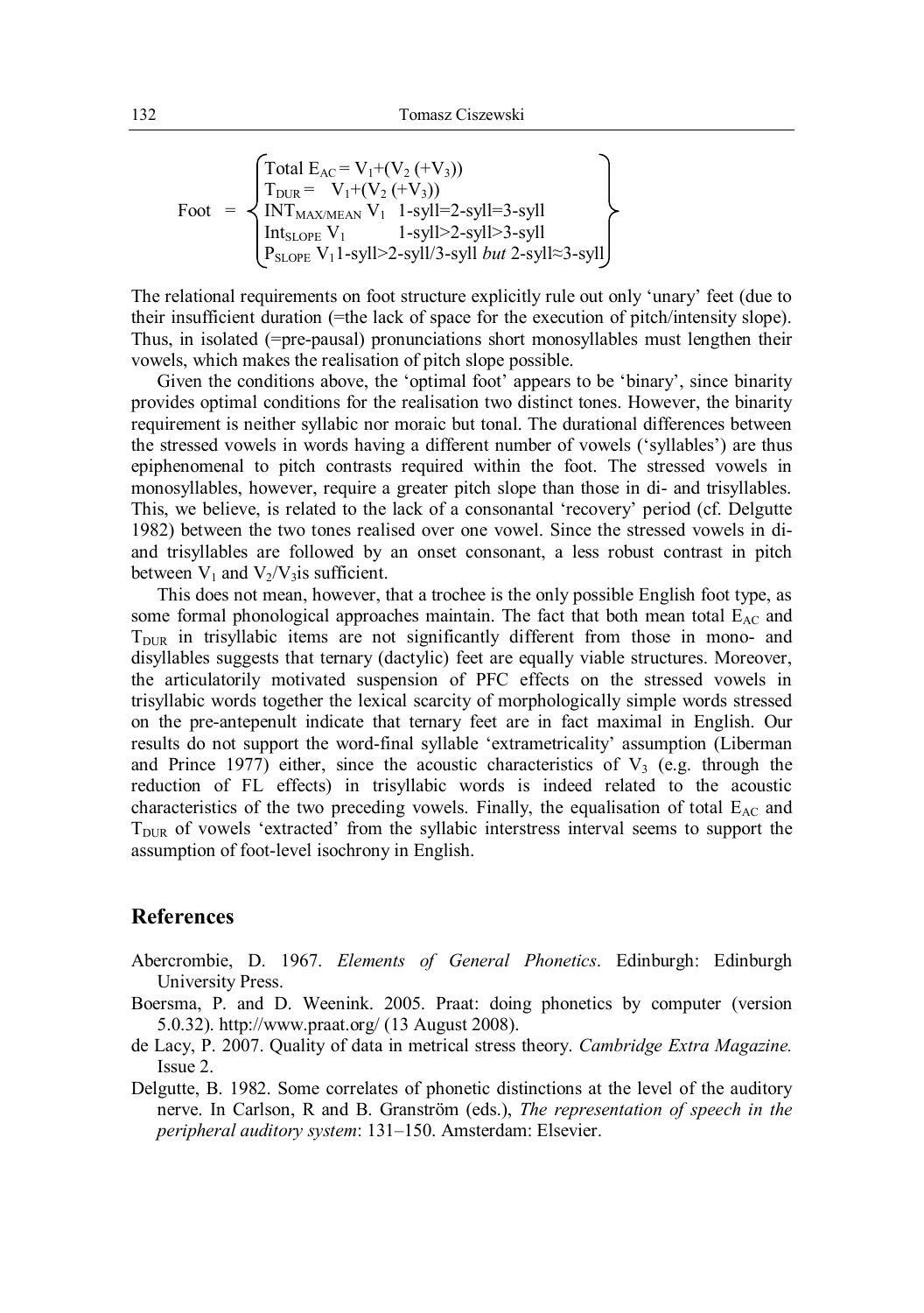$$
Foot = \begin{Bmatrix} \text{Total } E_{AC} = V_1 + (V_2 (+ V_3)) \\ T_{DUR} = V_1 + (V_2 (+ V_3)) \\ INT_{MAXMEAN} V_1 \quad 1-syll=2-syll=3-syll \\ Int_{SLOPE} V_1 \quad 1-syll>2-syll>3-syll \\ P_{SLOPE} V_1 1-syll>2-syll/3-syll \text{ but } 2-syll \approx 3-syll \end{Bmatrix}
$$

The relational requirements on foot structure explicitly rule out only 'unary' feet (due to their insufficient duration (=the lack of space for the execution of pitch/intensity slope). Thus, in isolated (=pre-pausal) pronunciations short monosyllables must lengthen their vowels, which makes the realisation of pitch slope possible.

Given the conditions above, the 'optimal foot' appears to be 'binary', since binarity provides optimal conditions for the realisation two distinct tones. However, the binarity requirement is neither syllabic nor moraic but tonal. The durational differences between the stressed vowels in words having a different number of vowels ('syllables') are thus epiphenomenal to pitch contrasts required within the foot. The stressed vowels in monosyllables, however, require a greater pitch slope than those in di- and trisyllables. This, we believe, is related to the lack of a consonantal 'recovery' period (cf. Delgutte 1982) between the two tones realised over one vowel. Since the stressed vowels in diand trisyllables are followed by an onset consonant, a less robust contrast in pitch between  $V_1$  and  $V_2/V_3$  is sufficient.

This does not mean, however, that a trochee is the only possible English foot type, as some formal phonological approaches maintain. The fact that both mean total  $E_{AC}$  and  $T<sub>DUR</sub>$  in trisyllabic items are not significantly different from those in mono- and disyllables suggests that ternary (dactylic) feet are equally viable structures. Moreover, the articulatorily motivated suspension of PFC effects on the stressed vowels in trisyllabic words together the lexical scarcity of morphologically simple words stressed on the pre-antepenult indicate that ternary feet are in fact maximal in English. Our results do not support the word-final syllable 'extrametricality' assumption (Liberman and Prince 1977) either, since the acoustic characteristics of  $V_3$  (e.g. through the reduction of FL effects) in trisyllabic words is indeed related to the acoustic characteristics of the two preceding vowels. Finally, the equalisation of total  $E_{AC}$  and  $T<sub>DUR</sub>$  of vowels 'extracted' from the syllabic interstress interval seems to support the assumption of foot-level isochrony in English.

#### **References**

- Abercrombie, D. 1967. *Elements of General Phonetics*. Edinburgh: Edinburgh University Press.
- Boersma, P. and D. Weenink. 2005. Praat: doing phonetics by computer (version 5.0.32). http://www.praat.org/ (13 August 2008).
- de Lacy, P. 2007. Quality of data in metrical stress theory. *Cambridge Extra Magazine.*  Issue 2.
- Delgutte, B. 1982. Some correlates of phonetic distinctions at the level of the auditory nerve. In Carlson, R and B. Granström (eds.), *The representation of speech in the peripheral auditory system*: 131–150. Amsterdam: Elsevier.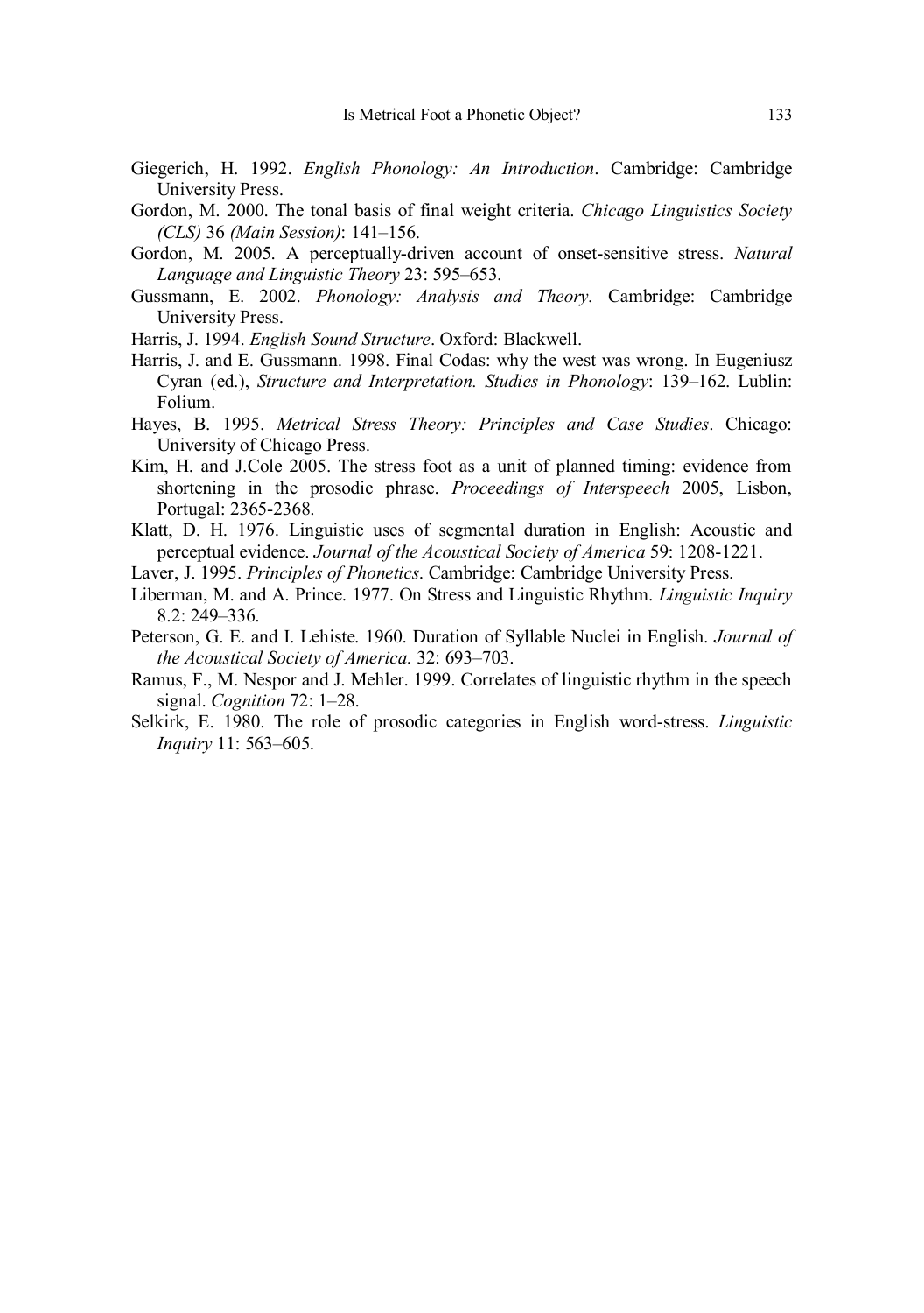- Giegerich, H. 1992. *English Phonology: An Introduction*. Cambridge: Cambridge University Press.
- Gordon, M. 2000. The tonal basis of final weight criteria. *Chicago Linguistics Society (CLS)* 36 *(Main Session)*: 141–156.
- Gordon, M. 2005. A perceptually-driven account of onset-sensitive stress. *Natural Language and Linguistic Theory* 23: 595–653.
- Gussmann, E. 2002. *Phonology: Analysis and Theory.* Cambridge: Cambridge University Press.
- Harris, J. 1994. *English Sound Structure*. Oxford: Blackwell.
- Harris, J. and E. Gussmann. 1998. Final Codas: why the west was wrong. In Eugeniusz Cyran (ed.), *Structure and Interpretation. Studies in Phonology*: 139–162. Lublin: Folium.
- Hayes, B. 1995. *Metrical Stress Theory: Principles and Case Studies*. Chicago: University of Chicago Press.
- Kim, H. and J.Cole 2005. The stress foot as a unit of planned timing: evidence from shortening in the prosodic phrase. *Proceedings of Interspeech* 2005, Lisbon, Portugal: 2365-2368.
- Klatt, D. H. 1976. Linguistic uses of segmental duration in English: Acoustic and perceptual evidence. *Journal of the Acoustical Society of America* 59: 1208-1221.
- Laver, J. 1995. *Principles of Phonetics*. Cambridge: Cambridge University Press.
- Liberman, M. and A. Prince. 1977. On Stress and Linguistic Rhythm. *Linguistic Inquiry* 8.2: 249–336.
- Peterson, G. E. and I. Lehiste. 1960. Duration of Syllable Nuclei in English. *Journal of the Acoustical Society of America.* 32: 693–703.
- Ramus, F., M. Nespor and J. Mehler. 1999. Correlates of linguistic rhythm in the speech signal. *Cognition* 72: 1–28.
- Selkirk, E. 1980. The role of prosodic categories in English word-stress. *Linguistic Inquiry* 11: 563–605.